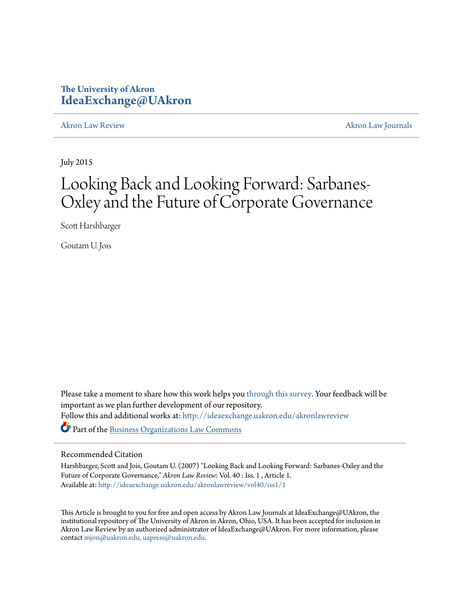# **The University of Akron [IdeaExchange@UAkron](http://ideaexchange.uakron.edu?utm_source=ideaexchange.uakron.edu%2Fakronlawreview%2Fvol40%2Fiss1%2F1&utm_medium=PDF&utm_campaign=PDFCoverPages)**

[Akron Law Review](http://ideaexchange.uakron.edu/akronlawreview?utm_source=ideaexchange.uakron.edu%2Fakronlawreview%2Fvol40%2Fiss1%2F1&utm_medium=PDF&utm_campaign=PDFCoverPages) [Akron Law Journals](http://ideaexchange.uakron.edu/akronlawjournals?utm_source=ideaexchange.uakron.edu%2Fakronlawreview%2Fvol40%2Fiss1%2F1&utm_medium=PDF&utm_campaign=PDFCoverPages)

July 2015

# Looking Back and Looking Forward: Sarbanes-Oxley and the Future of Corporate Governance

Scott Harshbarger

Goutam U. Jois

Please take a moment to share how this work helps you [through this survey.](http://survey.az1.qualtrics.com/SE/?SID=SV_eEVH54oiCbOw05f&URL=http://ideaexchange.uakron.edu/akronlawreview/vol40/iss1/1) Your feedback will be important as we plan further development of our repository. Follow this and additional works at: [http://ideaexchange.uakron.edu/akronlawreview](http://ideaexchange.uakron.edu/akronlawreview?utm_source=ideaexchange.uakron.edu%2Fakronlawreview%2Fvol40%2Fiss1%2F1&utm_medium=PDF&utm_campaign=PDFCoverPages) Part of the [Business Organizations Law Commons](http://network.bepress.com/hgg/discipline/900?utm_source=ideaexchange.uakron.edu%2Fakronlawreview%2Fvol40%2Fiss1%2F1&utm_medium=PDF&utm_campaign=PDFCoverPages)

# Recommended Citation

Harshbarger, Scott and Jois, Goutam U. (2007) "Looking Back and Looking Forward: Sarbanes-Oxley and the Future of Corporate Governance," *Akron Law Review*: Vol. 40 : Iss. 1 , Article 1. Available at: [http://ideaexchange.uakron.edu/akronlawreview/vol40/iss1/1](http://ideaexchange.uakron.edu/akronlawreview/vol40/iss1/1?utm_source=ideaexchange.uakron.edu%2Fakronlawreview%2Fvol40%2Fiss1%2F1&utm_medium=PDF&utm_campaign=PDFCoverPages)

This Article is brought to you for free and open access by Akron Law Journals at IdeaExchange@UAkron, the institutional repository of The University of Akron in Akron, Ohio, USA. It has been accepted for inclusion in Akron Law Review by an authorized administrator of IdeaExchange@UAkron. For more information, please contact [mjon@uakron.edu, uapress@uakron.edu.](mailto:mjon@uakron.edu,%20uapress@uakron.edu)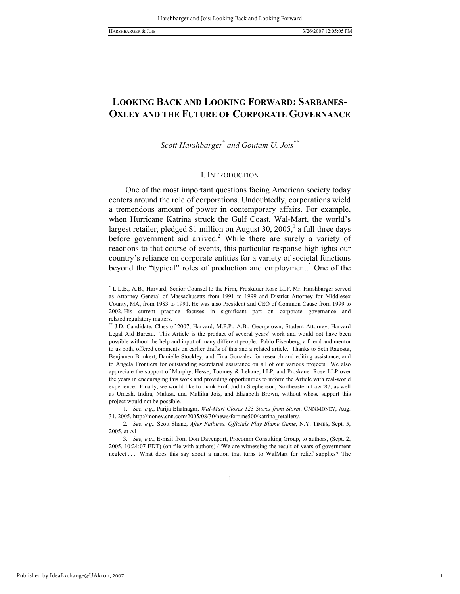1

# **LOOKING BACK AND LOOKING FORWARD: SARBANES-OXLEY AND THE FUTURE OF CORPORATE GOVERNANCE**

# *Scott Harshbarger*\*  *and Goutam U. Jois\*\**

### I. INTRODUCTION

One of the most important questions facing American society today centers around the role of corporations. Undoubtedly, corporations wield a tremendous amount of power in contemporary affairs. For example, when Hurricane Katrina struck the Gulf Coast, Wal-Mart, the world's largest retailer, pledged \$1 million on August 30, 2005,<sup>1</sup> a full three days before government aid arrived.<sup>2</sup> While there are surely a variety of reactions to that course of events, this particular response highlights our country's reliance on corporate entities for a variety of societal functions beyond the "typical" roles of production and employment.<sup>3</sup> One of the

<sup>\*</sup> L.L.B., A.B., Harvard; Senior Counsel to the Firm, Proskauer Rose LLP. Mr. Harshbarger served as Attorney General of Massachusetts from 1991 to 1999 and District Attorney for Middlesex County, MA, from 1983 to 1991. He was also President and CEO of Common Cause from 1999 to 2002. His current practice focuses in significant part on corporate governance and related regulatory matters.

<sup>\*\*</sup> J.D. Candidate, Class of 2007, Harvard; M.P.P., A.B., Georgetown; Student Attorney, Harvard Legal Aid Bureau. This Article is the product of several years' work and would not have been possible without the help and input of many different people. Pablo Eisenberg, a friend and mentor to us both, offered comments on earlier drafts of this and a related article. Thanks to Seth Ragosta, Benjamen Brinkert, Danielle Stockley, and Tina Gonzalez for research and editing assistance, and to Angela Frontiera for outstanding secretarial assistance on all of our various projects. We also appreciate the support of Murphy, Hesse, Toomey & Lehane, LLP, and Proskauer Rose LLP over the years in encouraging this work and providing opportunities to inform the Article with real-world experience. Finally, we would like to thank Prof. Judith Stephenson, Northeastern Law '87; as well as Umesh, Indira, Malasa, and Mallika Jois, and Elizabeth Brown, without whose support this project would not be possible.

<sup>1</sup>*. See, e.g.*, Parija Bhatnagar, *Wal-Mart Closes 123 Stores from Storm*, CNNMONEY, Aug. 31, 2005, http://money.cnn.com/2005/08/30/news/fortune500/katrina\_retailers/.

<sup>2</sup>*. See, e.g.,* Scott Shane, *After Failures, Officials Play Blame Game*, N.Y. TIMES, Sept. 5, 2005, at A1.

<sup>3</sup>*. See, e.g.*, E-mail from Don Davenport, Procomm Consulting Group, to authors, (Sept. 2, 2005, 10:24:07 EDT) (on file with authors) ("We are witnessing the result of years of government neglect . . . What does this say about a nation that turns to WalMart for relief supplies? The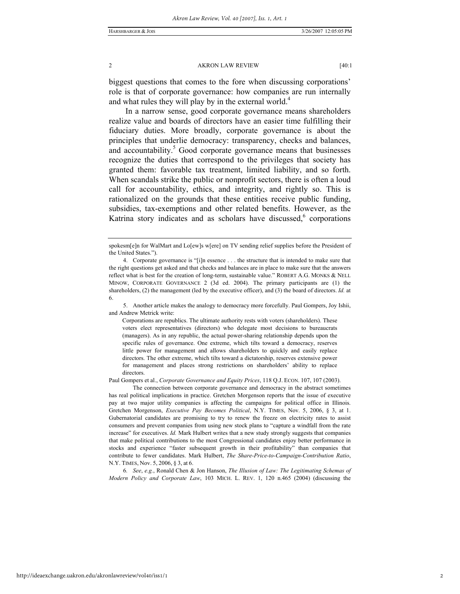biggest questions that comes to the fore when discussing corporations' role is that of corporate governance: how companies are run internally and what rules they will play by in the external world.<sup>4</sup>

In a narrow sense, good corporate governance means shareholders realize value and boards of directors have an easier time fulfilling their fiduciary duties. More broadly, corporate governance is about the principles that underlie democracy: transparency, checks and balances, and accountability.<sup>5</sup> Good corporate governance means that businesses recognize the duties that correspond to the privileges that society has granted them: favorable tax treatment, limited liability, and so forth. When scandals strike the public or nonprofit sectors, there is often a loud call for accountability, ethics, and integrity, and rightly so. This is rationalized on the grounds that these entities receive public funding, subsidies, tax-exemptions and other related benefits. However, as the Katrina story indicates and as scholars have discussed,<sup>6</sup> corporations

 5. Another article makes the analogy to democracy more forcefully. Paul Gompers, Joy Ishii, and Andrew Metrick write:

Corporations are republics. The ultimate authority rests with voters (shareholders). These voters elect representatives (directors) who delegate most decisions to bureaucrats (managers). As in any republic, the actual power-sharing relationship depends upon the specific rules of governance. One extreme, which tilts toward a democracy, reserves little power for management and allows shareholders to quickly and easily replace directors. The other extreme, which tilts toward a dictatorship, reserves extensive power for management and places strong restrictions on shareholders' ability to replace directors.

Paul Gompers et al., *Corporate Governance and Equity Prices*, 118 Q.J. ECON. 107, 107 (2003).

 The connection between corporate governance and democracy in the abstract sometimes has real political implications in practice. Gretchen Morgenson reports that the issue of executive pay at two major utility companies is affecting the campaigns for political office in Illinois. Gretchen Morgenson, *Executive Pay Becomes Political*, N.Y. TIMES, Nov. 5, 2006, § 3, at 1. Gubernatorial candidates are promising to try to renew the freeze on electricity rates to assist consumers and prevent companies from using new stock plans to "capture a windfall from the rate increase" for executives. *Id.* Mark Hulbert writes that a new study strongly suggests that companies that make political contributions to the most Congressional candidates enjoy better performance in stocks and experience "faster subsequent growth in their profitability" than companies that contribute to fewer candidates. Mark Hulbert, *The Share-Price-to-Campaign-Contribution Ratio*, N.Y. TIMES, Nov. 5, 2006, § 3, at 6.

6*. See*, *e.g.*, Ronald Chen & Jon Hanson, *The Illusion of Law: The Legitimating Schemas of Modern Policy and Corporate Law*, 103 MICH. L. REV. 1, 120 n.465 (2004) (discussing the

spokesm[e]n for WalMart and Lo[ew]s w[ere] on TV sending relief supplies before the President of the United States.").

 <sup>4.</sup> Corporate governance is "[i]n essence . . . the structure that is intended to make sure that the right questions get asked and that checks and balances are in place to make sure that the answers reflect what is best for the creation of long-term, sustainable value." ROBERT A.G. MONKS & NELL MINOW, CORPORATE GOVERNANCE 2 (3d ed. 2004). The primary participants are (1) the shareholders, (2) the management (led by the executive officer), and (3) the board of directors. *Id.* at 6.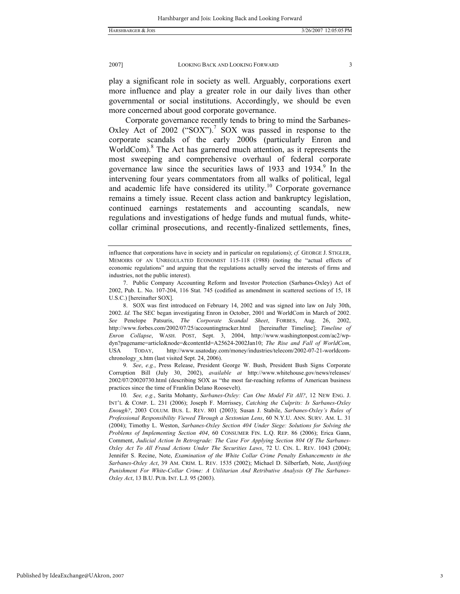play a significant role in society as well. Arguably, corporations exert more influence and play a greater role in our daily lives than other governmental or social institutions. Accordingly, we should be even more concerned about good corporate governance.

Corporate governance recently tends to bring to mind the Sarbanes-Oxley Act of  $2002$  ("SOX").<sup>7</sup> SOX was passed in response to the corporate scandals of the early 2000s (particularly Enron and WorldCom).<sup>8</sup> The Act has garnered much attention, as it represents the most sweeping and comprehensive overhaul of federal corporate governance law since the securities laws of 1933 and 1934.<sup>9</sup> In the intervening four years commentators from all walks of political, legal and academic life have considered its utility.<sup>10</sup> Corporate governance remains a timely issue. Recent class action and bankruptcy legislation, continued earnings restatements and accounting scandals, new regulations and investigations of hedge funds and mutual funds, whitecollar criminal prosecutions, and recently-finalized settlements, fines,

9*. See*, *e.g.*, Press Release, President George W. Bush, President Bush Signs Corporate Corruption Bill (July 30, 2002), *available at* http://www.whitehouse.gov/news/releases/ 2002/07/20020730.html (describing SOX as "the most far-reaching reforms of American business practices since the time of Franklin Delano Roosevelt).

influence that corporations have in society and in particular on regulations); *cf.* GEORGE J. STIGLER, MEMOIRS OF AN UNREGULATED ECONOMIST 115-118 (1988) (noting the "actual effects of economic regulations" and arguing that the regulations actually served the interests of firms and industries, not the public interest).

 <sup>7.</sup> Public Company Accounting Reform and Investor Protection (Sarbanes-Oxley) Act of 2002, Pub. L. No. 107-204, 116 Stat. 745 (codified as amendment in scattered sections of 15, 18 U.S.C.) [hereinafter SOX].

 <sup>8.</sup> SOX was first introduced on February 14, 2002 and was signed into law on July 30th, 2002. *Id.* The SEC began investigating Enron in October, 2001 and WorldCom in March of 2002. *See* Penelope Patsuris, *The Corporate Scandal Sheet*, FORBES, Aug. 26, 2002, http://www.forbes.com/2002/07/25/accountingtracker.html [hereinafter Timeline]; *Timeline of Enron Collapse*, WASH. POST, Sept. 3, 2004, http://www.washingtonpost.com/ac2/wpdyn?pagename=article&node=&contentId=A25624-2002Jan10; *The Rise and Fall of WorldCom*, USA TODAY, http://www.usatoday.com/money/industries/telecom/2002-07-21-worldcomchronology\_x.htm (last visited Sept. 24, 2006).

<sup>10</sup>*. See, e.g.*, Sarita Mohanty, *Sarbanes-Oxley: Can One Model Fit All?*, 12 NEW ENG. J. INT'L & COMP. L. 231 (2006); Joseph F. Morrissey, *Catching the Culprits: Is Sarbanes-Oxley Enough?*, 2003 COLUM. BUS. L. REV. 801 (2003); Susan J. Stabile, *Sarbanes-Oxley's Rules of Professional Responsibility Viewed Through a Sextonian Lens*, 60 N.Y.U. ANN. SURV. AM. L. 31 (2004); Timothy L. Weston, *Sarbanes-Oxley Section 404 Under Siege: Solutions for Solving the Problems of Implementing Section 404*, 60 CONSUMER FIN. L.Q. REP. 86 (2006); Erica Gann, Comment, *Judicial Action In Retrograde: The Case For Applying Section 804 Of The Sarbanes-Oxley Act To All Fraud Actions Under The Securities Laws*, 72 U. CIN. L. REV. 1043 (2004); Jennifer S. Recine, Note, *Examination of the White Collar Crime Penalty Enhancements in the Sarbanes-Oxley Act*, 39 AM. CRIM. L. REV. 1535 (2002); Michael D. Silberfarb, Note, *Justifying Punishment For White-Collar Crime: A Utilitarian And Retributive Analysis Of The Sarbanes-Oxley Act*, 13 B.U. PUB. INT. L.J. 95 (2003).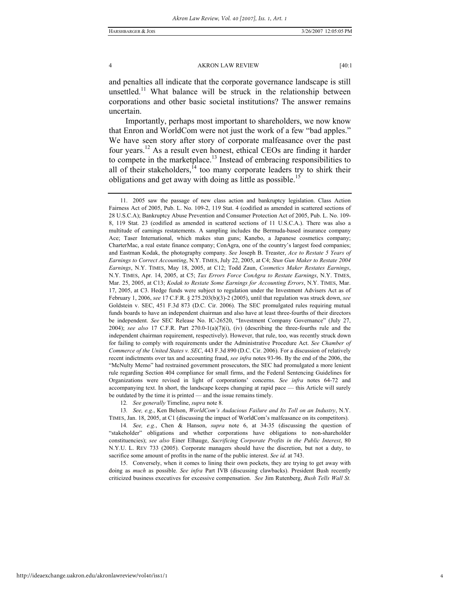and penalties all indicate that the corporate governance landscape is still unsettled.<sup>11</sup> What balance will be struck in the relationship between corporations and other basic societal institutions? The answer remains uncertain.

Importantly, perhaps most important to shareholders, we now know that Enron and WorldCom were not just the work of a few "bad apples." We have seen story after story of corporate malfeasance over the past four years.12 As a result even honest, ethical CEOs are finding it harder to compete in the marketplace.<sup>13</sup> Instead of embracing responsibilities to all of their stakeholders, $14$  too many corporate leaders try to shirk their obligations and get away with doing as little as possible.<sup>15</sup>

12*. See generally* Timeline, *supra* note 8.

13*. See, e.g.*, Ken Belson, *WorldCom's Audacious Failure and Its Toll on an Industry*, N.Y. TIMES, Jan. 18, 2005, at C1 (discussing the impact of WorldCom's malfeasance on its competitors).

14*. See, e.g.*, Chen & Hanson, *supra* note 6, at 34-35 (discussing the question of "stakeholder" obligations and whether corporations have obligations to non-shareholder constituencies); *see also* Einer Elhauge, *Sacrificing Corporate Profits in the Public Interest*, 80 N.Y.U. L. REV 733 (2005). Corporate managers should have the discretion, but not a duty, to sacrifice some amount of profits in the name of the public interest. *See id.* at 743.

 15. Conversely, when it comes to lining their own pockets, they are trying to get away with doing as *much* as possible. *See infra* Part IVB (discussing clawbacks). President Bush recently criticized business executives for excessive compensation. *See* Jim Rutenberg, *Bush Tells Wall St.* 

 <sup>11. 2005</sup> saw the passage of new class action and bankruptcy legislation. Class Action Fairness Act of 2005, Pub. L. No. 109-2, 119 Stat. 4 (codified as amended in scattered sections of 28 U.S.C.A); Bankruptcy Abuse Prevention and Consumer Protection Act of 2005, Pub. L. No. 109- 8, 119 Stat. 23 (codified as amended in scattered sections of 11 U.S.C.A.). There was also a multitude of earnings restatements. A sampling includes the Bermuda-based insurance company Ace; Taser International, which makes stun guns; Kanebo, a Japanese cosmetics company; CharterMac, a real estate finance company; ConAgra, one of the country's largest food companies; and Eastman Kodak, the photography company. *See* Joseph B. Treaster, *Ace to Restate 5 Years of Earnings to Correct Accounting*, N.Y. TIMES, July 22, 2005, at C4; *Stun Gun Maker to Restate 2004 Earnings*, N.Y. TIMES, May 18, 2005, at C12; Todd Zaun, *Cosmetics Maker Restates Earnings*, N.Y. TIMES, Apr. 14, 2005, at C5; *Tax Errors Force ConAgra to Restate Earnings*, N.Y. TIMES, Mar. 25, 2005, at C13; *Kodak to Restate Some Earnings for Accounting Errors*, N.Y. TIMES, Mar. 17, 2005, at C3. Hedge funds were subject to regulation under the Investment Advisers Act as of February 1, 2006, *see* 17 C.F.R. § 275.203(b)(3)-2 (2005), until that regulation was struck down, *see*  Goldstein v. SEC, 451 F.3d 873 (D.C. Cir. 2006). The SEC promulgated rules requiring mutual funds boards to have an independent chairman and also have at least three-fourths of their directors be independent. *See* SEC Release No. IC-26520, "Investment Company Governance" (July 27, 2004); *see also* 17 C.F.R. Part 270.0-1(a)(7)(i), (iv) (describing the three-fourths rule and the independent chairman requirement, respectively). However, that rule, too, was recently struck down for failing to comply with requirements under the Administrative Procedure Act. *See Chamber of Commerce of the United States v. SEC*, 443 F.3d 890 (D.C. Cir. 2006). For a discussion of relatively recent indictments over tax and accounting fraud, *see infra* notes 93-96. By the end of the 2006, the "McNulty Memo" had restrained government prosecutors, the SEC had promulgated a more lenient rule regarding Section 404 compliance for small firms, and the Federal Sentencing Guidelines for Organizations were revised in light of corporations' concerns. *See infra* notes 64-72 and accompanying text. In short, the landscape keeps changing at rapid pace — this Article will surely be outdated by the time it is printed — and the issue remains timely.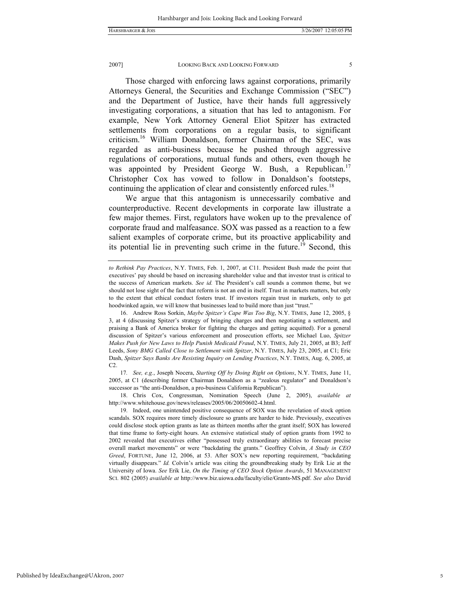Those charged with enforcing laws against corporations, primarily Attorneys General, the Securities and Exchange Commission ("SEC") and the Department of Justice, have their hands full aggressively investigating corporations, a situation that has led to antagonism. For example, New York Attorney General Eliot Spitzer has extracted settlements from corporations on a regular basis, to significant criticism.16 William Donaldson, former Chairman of the SEC, was regarded as anti-business because he pushed through aggressive regulations of corporations, mutual funds and others, even though he was appointed by President George W. Bush, a Republican.<sup>17</sup> Christopher Cox has vowed to follow in Donaldson's footsteps, continuing the application of clear and consistently enforced rules.<sup>18</sup>

We argue that this antagonism is unnecessarily combative and counterproductive. Recent developments in corporate law illustrate a few major themes. First, regulators have woken up to the prevalence of corporate fraud and malfeasance. SOX was passed as a reaction to a few salient examples of corporate crime, but its proactive applicability and its potential lie in preventing such crime in the future.<sup>19</sup> Second, this

17*. See, e.g.*, Joseph Nocera, *Starting Off by Doing Right on Options*, N.Y. TIMES, June 11, 2005, at C1 (describing former Chairman Donaldson as a "zealous regulator" and Donaldson's successor as "the anti-Donaldson, a pro-business California Republican").

 18. Chris Cox, Congressman, Nomination Speech (June 2, 2005), *available at*  http://www.whitehouse.gov/news/releases/2005/06/20050602-4.html.

*to Rethink Pay Practices*, N.Y. TIMES, Feb. 1, 2007, at C11. President Bush made the point that executives' pay should be based on increasing shareholder value and that investor trust is critical to the success of American markets. *See id.* The President's call sounds a common theme, but we should not lose sight of the fact that reform is not an end in itself. Trust in markets matters, but only to the extent that ethical conduct fosters trust. If investors regain trust in markets, only to get hoodwinked again, we will know that businesses lead to build more than just "trust."

 <sup>16.</sup> Andrew Ross Sorkin, *Maybe Spitzer's Cape Was Too Big*, N.Y. TIMES, June 12, 2005, § 3, at 4 (discussing Spitzer's strategy of bringing charges and then negotiating a settlement, and praising a Bank of America broker for fighting the charges and getting acquitted). For a general discussion of Spitzer's various enforcement and prosecution efforts, see Michael Luo, *Spitzer Makes Push for New Laws to Help Punish Medicaid Fraud*, N.Y. TIMES, July 21, 2005, at B3; Jeff Leeds, *Sony BMG Called Close to Settlement with Spitzer*, N.Y. TIMES, July 23, 2005, at C1; Eric Dash, *Spitzer Says Banks Are Resisting Inquiry on Lending Practices*, N.Y. TIMES, Aug. 6, 2005, at  $C2$ 

 <sup>19.</sup> Indeed, one unintended positive consequence of SOX was the revelation of stock option scandals. SOX requires more timely disclosure so grants are harder to hide. Previously, executives could disclose stock option grants as late as thirteen months after the grant itself; SOX has lowered that time frame to forty-eight hours. An extensive statistical study of option grants from 1992 to 2002 revealed that executives either "possessed truly extraordinary abilities to forecast precise overall market movements" or were "backdating the grants." Geoffrey Colvin, *A Study in CEO Greed*, FORTUNE, June 12, 2006, at 53. After SOX's new reporting requirement, "backdating virtually disappears." *Id.* Colvin's article was citing the groundbreaking study by Erik Lie at the University of Iowa. *See* Erik Lie, *On the Timing of CEO Stock Option Awards*, 51 MANAGEMENT SCI. 802 (2005) *available at* http://www.biz.uiowa.edu/faculty/elie/Grants-MS.pdf. *See also* David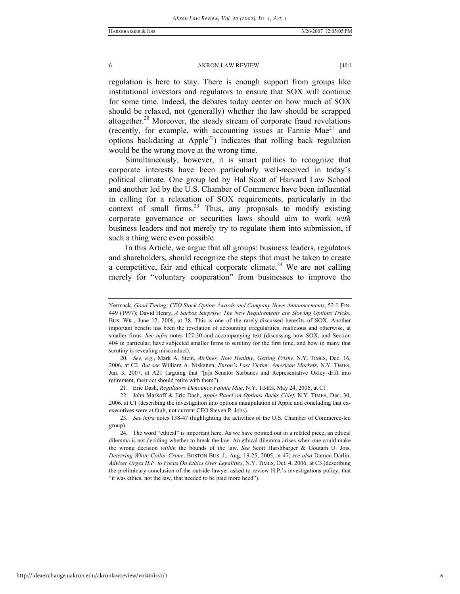regulation is here to stay. There is enough support from groups like institutional investors and regulators to ensure that SOX will continue for some time. Indeed, the debates today center on how much of SOX should be relaxed, not (generally) whether the law should be scrapped altogether.<sup>20</sup> Moreover, the steady stream of corporate fraud revelations (recently, for example, with accounting issues at Fannie Mae $^{21}$  and options backdating at Apple<sup>22</sup>) indicates that rolling back regulation would be the wrong move at the wrong time.

Simultaneously, however, it is smart politics to recognize that corporate interests have been particularly well-received in today's political climate. One group led by Hal Scott of Harvard Law School and another led by the U.S. Chamber of Commerce have been influential in calling for a relaxation of SOX requirements, particularly in the context of small firms. $^{23}$  Thus, any proposals to modify existing corporate governance or securities laws should aim to work *with*  business leaders and not merely try to regulate them into submission, if such a thing were even possible.

In this Article, we argue that all groups: business leaders, regulators and shareholders, should recognize the steps that must be taken to create a competitive, fair and ethical corporate climate.<sup>24</sup> We are not calling merely for "voluntary cooperation" from businesses to improve the

23*. See infra* notes 138-47 (highlighting the activities of the U.S. Chamber of Commerce-led group).

Yermack, *Good Timing: CEO Stock Option Awards and Company News Announcements*, 52 J. FIN. 449 (1997); David Henry, *A Sarbox Surprise: The New Requirements are Slowing Options Tricks*, BUS. WK., June 12, 2006, at 38. This is one of the rarely-discussed benefits of SOX. Another important benefit has been the revelation of accounting irregularities, malicious and otherwise, at smaller firms. *See infra* notes 127-30 and accompanying text (discussing how SOX, and Section 404 in particular, have subjected smaller firms to scrutiny for the first time, and how in many that scrutiny is revealing misconduct).

<sup>20</sup>*. See, e.g.*, Mark A. Stein, *Airlines, Now Healthy, Getting Frisky,* N.Y. TIMES, Dec. 16, 2006, at C2. *But see* William A. Niskanen, *Enron's Last Victim: American Markets*, N.Y. TIMES, Jan. 3, 2007, at A21 (arguing that "[a]s Senator Sarbanes and Representative Oxley drift into retirement, their act should retire with them").

 <sup>21.</sup> Eric Dash, *Regulators Denounce Fannie Mae*, N.Y. TIMES, May 24, 2006, at C1.

 <sup>22.</sup> John Markoff & Eric Dash, *Apple Panel on Options Backs Chief*, N.Y. TIMES, Dec. 30, 2006, at C1 (describing the investigation into options manipulation at Apple and concluding that exexecutives were at fault, not current CEO Steven P. Jobs).

 <sup>24.</sup> The word "ethical" is important here. As we have pointed out in a related piece, an ethical dilemma is not deciding whether to break the law. An ethical dilemma arises when one could make the wrong decision *within* the bounds of the law. *See* Scott Harshbarger & Goutam U. Jois, *Deterring White Collar Crime*, BOSTON BUS. J., Aug. 19-25, 2005, at 47; *see also* Damon Darlin, *Adviser Urges H.P. to Focus On Ethics Over Legalities*, N.Y. TIMES, Oct. 4, 2006, at C3 (describing the preliminary conclusion of the outside lawyer asked to review H.P.'s investigations policy, that "it was ethics, not the law, that needed to be paid more heed").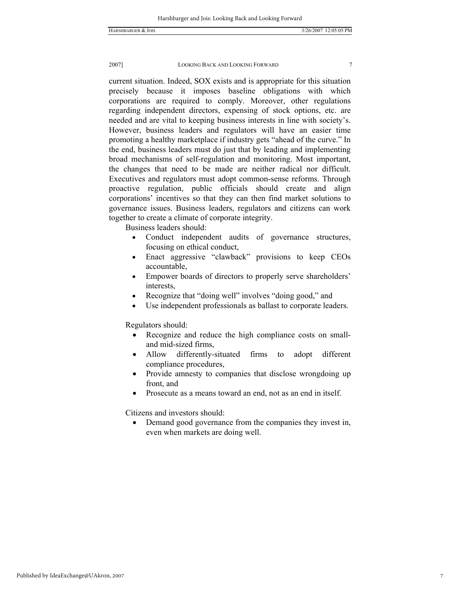current situation. Indeed, SOX exists and is appropriate for this situation precisely because it imposes baseline obligations with which corporations are required to comply. Moreover, other regulations regarding independent directors, expensing of stock options, etc. are needed and are vital to keeping business interests in line with society's. However, business leaders and regulators will have an easier time promoting a healthy marketplace if industry gets "ahead of the curve." In the end, business leaders must do just that by leading and implementing broad mechanisms of self-regulation and monitoring. Most important, the changes that need to be made are neither radical nor difficult. Executives and regulators must adopt common-sense reforms. Through proactive regulation, public officials should create and align corporations' incentives so that they can then find market solutions to governance issues. Business leaders, regulators and citizens can work together to create a climate of corporate integrity.

Business leaders should:

- Conduct independent audits of governance structures, focusing on ethical conduct,
- Enact aggressive "clawback" provisions to keep CEOs accountable,
- Empower boards of directors to properly serve shareholders' interests,
- Recognize that "doing well" involves "doing good," and
- Use independent professionals as ballast to corporate leaders.

Regulators should:

- Recognize and reduce the high compliance costs on smalland mid-sized firms,
- Allow differently-situated firms to adopt different compliance procedures,
- Provide amnesty to companies that disclose wrongdoing up front, and
- Prosecute as a means toward an end, not as an end in itself.

Citizens and investors should:

• Demand good governance from the companies they invest in, even when markets are doing well.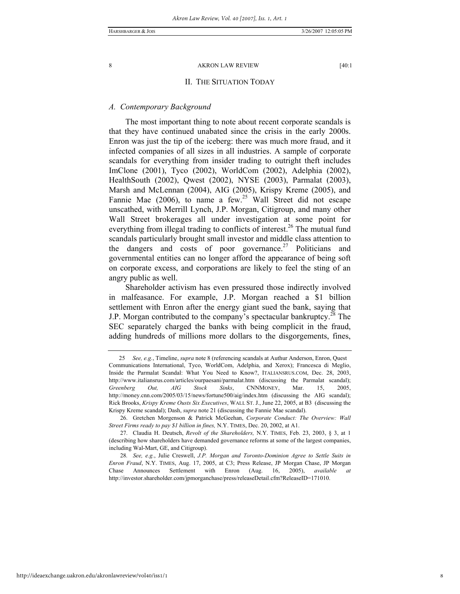### II. THE SITUATION TODAY

# *A. Contemporary Background*

The most important thing to note about recent corporate scandals is that they have continued unabated since the crisis in the early 2000s. Enron was just the tip of the iceberg: there was much more fraud, and it infected companies of all sizes in all industries. A sample of corporate scandals for everything from insider trading to outright theft includes ImClone (2001), Tyco (2002), WorldCom (2002), Adelphia (2002), HealthSouth (2002), Qwest (2002), NYSE (2003), Parmalat (2003), Marsh and McLennan (2004), AIG (2005), Krispy Kreme (2005), and Fannie Mae  $(2006)$ , to name a few.<sup>25</sup> Wall Street did not escape unscathed, with Merrill Lynch, J.P. Morgan, Citigroup, and many other Wall Street brokerages all under investigation at some point for everything from illegal trading to conflicts of interest.<sup>26</sup> The mutual fund scandals particularly brought small investor and middle class attention to the dangers and costs of poor governance.<sup>27</sup> Politicians and governmental entities can no longer afford the appearance of being soft on corporate excess, and corporations are likely to feel the sting of an angry public as well.

Shareholder activism has even pressured those indirectly involved in malfeasance. For example, J.P. Morgan reached a \$1 billion settlement with Enron after the energy giant sued the bank, saying that J.P. Morgan contributed to the company's spectacular bankruptcy.<sup>28</sup> The SEC separately charged the banks with being complicit in the fraud, adding hundreds of millions more dollars to the disgorgements, fines,

8

 <sup>25</sup> *See, e.g.*, Timeline, *supra* note 8 (referencing scandals at Authur Anderson, Enron, Quest Communications International, Tyco, WorldCom, Adelphia, and Xerox); Francesca di Meglio, Inside the Parmalat Scandal: What You Need to Know?, ITALIANSRUS.COM, Dec. 28, 2003, http://www.italiansrus.com/articles/ourpaesani/parmalat.htm (discussing the Parmalat scandal); *Greenberg Out, AIG Stock Sinks*, CNNMONEY, Mar. 15, 2005, http://money.cnn.com/2005/03/15/news/fortune500/aig/index.htm (discussing the AIG scandal); Rick Brooks, *Krispy Kreme Ousts Six Executives*, WALL ST. J., June 22, 2005, at B3 (discussing the Krispy Kreme scandal); Dash, *supra* note 21 (discussing the Fannie Mae scandal).

 <sup>26.</sup> Gretchen Morgenson & Patrick McGeehan, *Corporate Conduct: The Overview: Wall Street Firms ready to pay \$1 billion in fines,* N.Y. TIMES, Dec. 20, 2002, at A1.

 <sup>27.</sup> Claudia H. Deutsch, *Revolt of the Shareholders,* N.Y. TIMES, Feb. 23, 2003, § 3, at 1 (describing how shareholders have demanded governance reforms at some of the largest companies, including Wal-Mart, GE, and Citigroup).

<sup>28</sup>*. See, e.g.*, Julie Creswell, *J.P. Morgan and Toronto-Dominion Agree to Settle Suits in Enron Fraud*, N.Y. TIMES, Aug. 17, 2005, at C3; Press Release, JP Morgan Chase, JP Morgan Chase Announces Settlement with Enron (Aug. 16, 2005), *available* http://investor.shareholder.com/jpmorganchase/press/releaseDetail.cfm?ReleaseID=171010.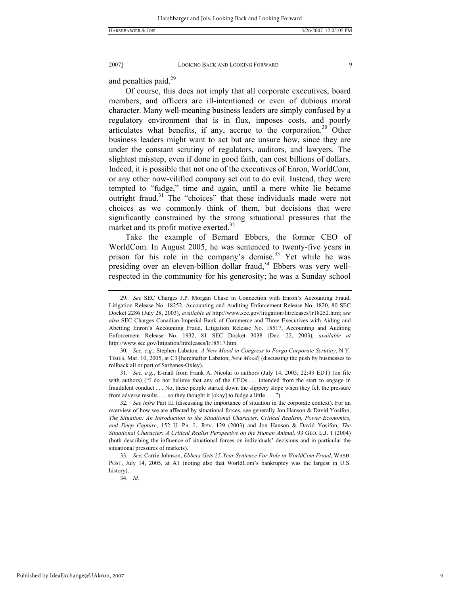and penalties paid.<sup>29</sup>

Of course, this does not imply that all corporate executives, board members, and officers are ill-intentioned or even of dubious moral character. Many well-meaning business leaders are simply confused by a regulatory environment that is in flux, imposes costs, and poorly articulates what benefits, if any, accrue to the corporation.<sup>30</sup> Other business leaders might want to act but are unsure how, since they are under the constant scrutiny of regulators, auditors, and lawyers. The slightest misstep, even if done in good faith, can cost billions of dollars. Indeed, it is possible that not one of the executives of Enron, WorldCom, or any other now-vilified company set out to do evil. Instead, they were tempted to "fudge," time and again, until a mere white lie became outright fraud.<sup>31</sup> The "choices" that these individuals made were not choices as we commonly think of them, but decisions that were significantly constrained by the strong situational pressures that the market and its profit motive exerted. $32$ 

Take the example of Bernard Ebbers, the former CEO of WorldCom. In August 2005, he was sentenced to twenty-five years in prison for his role in the company's demise.<sup>33</sup> Yet while he was presiding over an eleven-billion dollar fraud, $34$  Ebbers was very wellrespected in the community for his generosity; he was a Sunday school

<sup>29</sup>*. See* SEC Charges J.P. Morgan Chase in Connection with Enron's Accounting Fraud, Litigation Release No. 18252, Accounting and Auditing Enforcement Release No. 1820, 80 SEC Docket 2286 (July 28, 2003), *available at* http://www.sec.gov/litigation/litreleases/lr18252.htm; *see also* SEC Charges Canadian Imperial Bank of Commerce and Three Executives with Aiding and Abetting Enron's Accounting Fraud, Litigation Release No. 18517, Accounting and Auditing Enforcement Release No. 1932, 81 SEC Docket 3038 (Dec. 22, 2003), *available at*  http://www.sec.gov/litigation/litreleases/lr18517.htm.

<sup>30</sup>*. See*, *e.g.*, Stephen Labaton*, A New Mood in Congress to Forgo Corporate Scrutiny*, N.Y. TIMES, Mar. 10, 2005, at C3 [hereinafter Labaton, *New Mood*] (discussing the push by businesses to rollback all or part of Sarbanes-Oxley).

<sup>31</sup>*. See, e.g.*, E-mail from Frank A. Nicolai to authors (July 14, 2005, 22:49 EDT) (on file with authors) ("I do not believe that any of the CEOs . . . intended from the start to engage in fraudulent conduct . . . No, these people started down the slippery slope when they felt the pressure from adverse results . . . so they thought it [okay] to fudge a little . . . ").

<sup>32</sup>*. See infra* Part III (discussing the importance of situation in the corporate context). For an overview of how we are affected by situational forces, see generally Jon Hanson & David Yosifon, *The Situation: An Introduction to the Situational Character, Critical Realism, Power Economics, and Deep Capture*, 152 U. PA. L. REV. 129 (2003) and Jon Hanson & David Yosifon, *The Situational Character: A Critical Realist Perspective on the Human Animal*, 93 GEO. L.J. 1 (2004) (both describing the influence of situational forces on individuals' decisions and in particular the situational pressures of markets).

<sup>33</sup>*. See,* Carrie Johnson, *Ebbers Gets 25-Year Sentence For Role in WorldCom Fraud*, WASH. POST, July 14, 2005, at A1 (noting also that WorldCom's bankruptcy was the largest in U.S. history).

<sup>34</sup>*. Id.*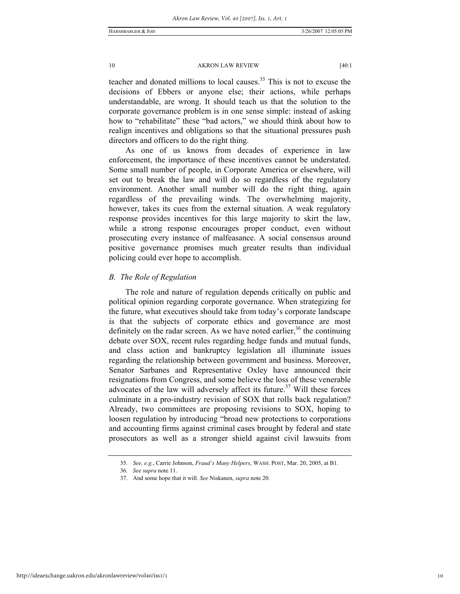teacher and donated millions to local causes.<sup>35</sup> This is not to excuse the decisions of Ebbers or anyone else; their actions, while perhaps understandable, are wrong. It should teach us that the solution to the corporate governance problem is in one sense simple: instead of asking how to "rehabilitate" these "bad actors," we should think about how to realign incentives and obligations so that the situational pressures push directors and officers to do the right thing.

As one of us knows from decades of experience in law enforcement, the importance of these incentives cannot be understated. Some small number of people, in Corporate America or elsewhere, will set out to break the law and will do so regardless of the regulatory environment. Another small number will do the right thing, again regardless of the prevailing winds. The overwhelming majority, however, takes its cues from the external situation. A weak regulatory response provides incentives for this large majority to skirt the law, while a strong response encourages proper conduct, even without prosecuting every instance of malfeasance. A social consensus around positive governance promises much greater results than individual policing could ever hope to accomplish.

# *B. The Role of Regulation*

The role and nature of regulation depends critically on public and political opinion regarding corporate governance. When strategizing for the future, what executives should take from today's corporate landscape is that the subjects of corporate ethics and governance are most definitely on the radar screen. As we have noted earlier,  $36$  the continuing debate over SOX, recent rules regarding hedge funds and mutual funds, and class action and bankruptcy legislation all illuminate issues regarding the relationship between government and business. Moreover, Senator Sarbanes and Representative Oxley have announced their resignations from Congress, and some believe the loss of these venerable advocates of the law will adversely affect its future.<sup>37</sup> Will these forces culminate in a pro-industry revision of SOX that rolls back regulation? Already, two committees are proposing revisions to SOX, hoping to loosen regulation by introducing "broad new protections to corporations and accounting firms against criminal cases brought by federal and state prosecutors as well as a stronger shield against civil lawsuits from

<sup>35</sup>*. See, e.g.*, Carrie Johnson, *Fraud's Many Helpers*, WASH. POST, Mar. 20, 2005, at B1.

<sup>36</sup>*. See supra* note 11.

 <sup>37.</sup> And some hope that it will. *See* Niskanen, *supra* note 20.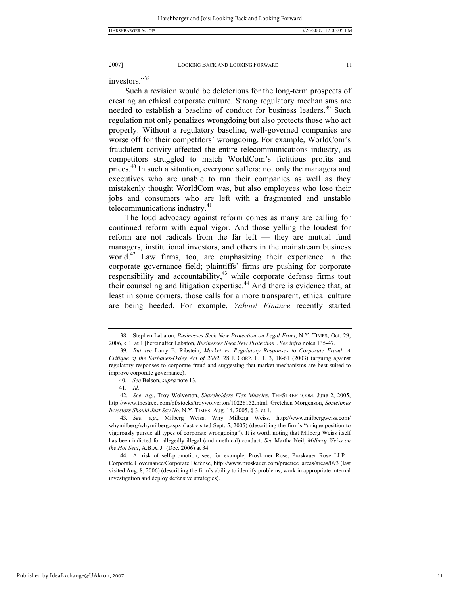investors."38

Such a revision would be deleterious for the long-term prospects of creating an ethical corporate culture. Strong regulatory mechanisms are needed to establish a baseline of conduct for business leaders.<sup>39</sup> Such regulation not only penalizes wrongdoing but also protects those who act properly. Without a regulatory baseline, well-governed companies are worse off for their competitors' wrongdoing. For example, WorldCom's fraudulent activity affected the entire telecommunications industry, as competitors struggled to match WorldCom's fictitious profits and prices.<sup>40</sup> In such a situation, everyone suffers: not only the managers and executives who are unable to run their companies as well as they mistakenly thought WorldCom was, but also employees who lose their jobs and consumers who are left with a fragmented and unstable telecommunications industry.<sup>41</sup>

The loud advocacy against reform comes as many are calling for continued reform with equal vigor. And those yelling the loudest for reform are not radicals from the far left — they are mutual fund managers, institutional investors, and others in the mainstream business world.<sup>42</sup> Law firms, too, are emphasizing their experience in the corporate governance field; plaintiffs' firms are pushing for corporate responsibility and accountability,<sup>43</sup> while corporate defense firms tout their counseling and litigation expertise.<sup>44</sup> And there is evidence that, at least in some corners, those calls for a more transparent, ethical culture are being heeded. For example, *Yahoo! Finance* recently started

 <sup>38.</sup> Stephen Labaton, *Businesses Seek New Protection on Legal Front*, N.Y. TIMES, Oct. 29, 2006, § 1, at 1 [hereinafter Labaton, *Businesses Seek New Protection*]. *See infra* notes 135-47.

<sup>39</sup>*. But see* Larry E. Ribstein, *Market vs. Regulatory Responses to Corporate Fraud: A Critique of the Sarbanes-Oxley Act of 2002*, 28 J. CORP. L. 1, 3, 18-61 (2003) (arguing against regulatory responses to corporate fraud and suggesting that market mechanisms are best suited to improve corporate governance).

 <sup>40.</sup> *See* Belson, *supra* note 13.

 <sup>41.</sup> *Id.*

<sup>42</sup>*. See*, *e.g.*, Troy Wolverton, *Shareholders Flex Muscles*, THESTREET.COM, June 2, 2005, http://www.thestreet.com/pf/stocks/troywolverton/10226152.html; Gretchen Morgenson, *Sometimes Investors Should Just Say No*, N.Y. TIMES, Aug. 14, 2005, § 3, at 1.

<sup>43</sup>*. See*, *e.g.*, Milberg Weiss, Why Milberg Weiss, http://www.milbergweiss.com/ whymilberg/whymilberg.aspx (last visited Sept. 5, 2005) (describing the firm's "unique position to vigorously pursue all types of corporate wrongdoing"). It is worth noting that Milberg Weiss itself has been indicted for allegedly illegal (and unethical) conduct. *See* Martha Neil, *Milberg Weiss on the Hot Seat*, A.B.A. J. (Dec. 2006) at 34.

 <sup>44.</sup> At risk of self-promotion, see, for example, Proskauer Rose, Proskauer Rose LLP – Corporate Governance/Corporate Defense, http://www.proskauer.com/practice\_areas/areas/093 (last visited Aug. 8, 2006) (describing the firm's ability to identify problems, work in appropriate internal investigation and deploy defensive strategies).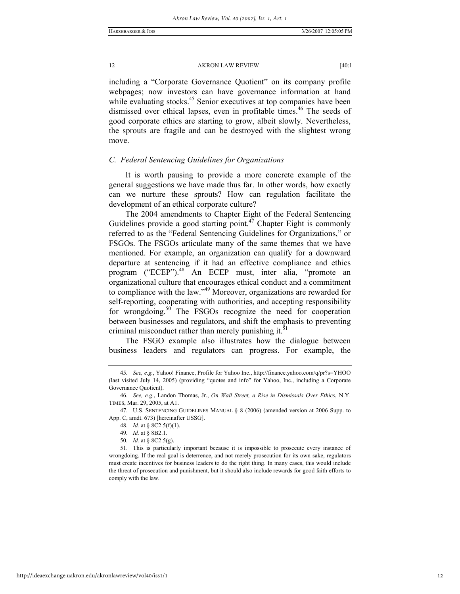including a "Corporate Governance Quotient" on its company profile webpages; now investors can have governance information at hand while evaluating stocks.<sup>45</sup> Senior executives at top companies have been dismissed over ethical lapses, even in profitable times.<sup>46</sup> The seeds of good corporate ethics are starting to grow, albeit slowly. Nevertheless, the sprouts are fragile and can be destroyed with the slightest wrong move.

# *C. Federal Sentencing Guidelines for Organizations*

It is worth pausing to provide a more concrete example of the general suggestions we have made thus far. In other words, how exactly can we nurture these sprouts? How can regulation facilitate the development of an ethical corporate culture?

The 2004 amendments to Chapter Eight of the Federal Sentencing Guidelines provide a good starting point.<sup> $47$ </sup> Chapter Eight is commonly referred to as the "Federal Sentencing Guidelines for Organizations," or FSGOs. The FSGOs articulate many of the same themes that we have mentioned. For example, an organization can qualify for a downward departure at sentencing if it had an effective compliance and ethics program ("ECEP").<sup>48</sup> An ECEP must, inter alia, "promote an organizational culture that encourages ethical conduct and a commitment to compliance with the law."49 Moreover, organizations are rewarded for self-reporting, cooperating with authorities, and accepting responsibility for wrongdoing.<sup>50</sup> The FSGOs recognize the need for cooperation between businesses and regulators, and shift the emphasis to preventing criminal misconduct rather than merely punishing it. $51$ 

The FSGO example also illustrates how the dialogue between business leaders and regulators can progress. For example, the

<sup>45</sup>*. See, e.g.*, Yahoo! Finance, Profile for Yahoo Inc., http://finance.yahoo.com/q/pr?s=YHOO (last visited July 14, 2005) (providing "quotes and info" for Yahoo, Inc., including a Corporate Governance Quotient).

<sup>46</sup>*. See, e.g.*, Landon Thomas, Jr., *On Wall Street, a Rise in Dismissals Over Ethics*, N.Y. TIMES, Mar. 29, 2005, at A1.

 <sup>47.</sup> U.S. SENTENCING GUIDELINES MANUAL § 8 (2006) (amended version at 2006 Supp. to App. C, amdt. 673) [hereinafter USSG].

<sup>48</sup>*. Id.* at § 8C2.5(f)(1).

<sup>49</sup>*. Id.* at § 8B2.1.

<sup>50</sup>*. Id.* at § 8C2.5(g).

 <sup>51.</sup> This is particularly important because it is impossible to prosecute every instance of wrongdoing. If the real goal is deterrence, and not merely prosecution for its own sake, regulators must create incentives for business leaders to do the right thing. In many cases, this would include the threat of prosecution and punishment, but it should also include rewards for good faith efforts to comply with the law.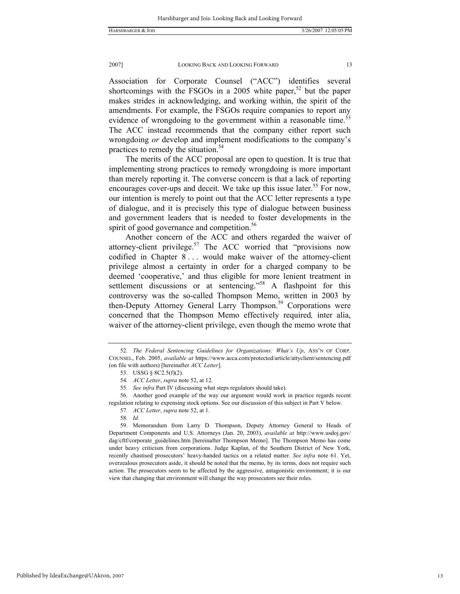Association for Corporate Counsel ("ACC") identifies several shortcomings with the FSGOs in a 2005 white paper,<sup>52</sup> but the paper makes strides in acknowledging, and working within, the spirit of the amendments. For example, the FSGOs require companies to report any evidence of wrongdoing to the government within a reasonable time.<sup>53</sup> The ACC instead recommends that the company either report such wrongdoing *or* develop and implement modifications to the company's practices to remedy the situation.<sup>54</sup>

The merits of the ACC proposal are open to question. It is true that implementing strong practices to remedy wrongdoing is more important than merely reporting it. The converse concern is that a lack of reporting encourages cover-ups and deceit. We take up this issue later.<sup>55</sup> For now, our intention is merely to point out that the ACC letter represents a type of dialogue, and it is precisely this type of dialogue between business and government leaders that is needed to foster developments in the spirit of good governance and competition.<sup>56</sup>

Another concern of the ACC and others regarded the waiver of attorney-client privilege.<sup>57</sup> The ACC worried that "provisions now codified in Chapter 8... would make waiver of the attorney-client privilege almost a certainty in order for a charged company to be deemed 'cooperative,' and thus eligible for more lenient treatment in settlement discussions or at sentencing."<sup>58</sup> A flashpoint for this controversy was the so-called Thompson Memo, written in 2003 by then-Deputy Attorney General Larry Thompson.<sup>59</sup> Corporations were concerned that the Thompson Memo effectively required*,* inter alia, waiver of the attorney-client privilege, even though the memo wrote that

<sup>52</sup>*. The Federal Sentencing Guidelines for Organizations: What's Up*, ASS'N OF CORP. COUNSEL, Feb. 2005, *available at* https://www.acca.com/protected/article/attyclient/sentencing.pdf (on file with authors) [hereinafter *ACC Letter*].

 <sup>53.</sup> USSG § 8C2.5(f)(2).

<sup>54</sup>*. ACC Letter*, *supra* note 52, at 12.

<sup>55</sup>*. See infra* Part IV (discussing what steps regulators should take).

 <sup>56.</sup> Another good example of the way our argument would work in practice regards recent regulation relating to expensing stock options. See our discussion of this subject in Part V below.

<sup>57</sup>*. ACC Letter*, *supra* note 52, at 1.

<sup>58</sup>*. Id.*

 <sup>59.</sup> Memorandum from Larry D. Thompson, Deputy Attorney General to Heads of Department Components and U.S. Attorneys (Jan. 20, 2003), *available at* http://www.usdoj.gov/ dag/cftf/corporate\_guidelines.htm [hereinafter Thompson Memo]. The Thompson Memo has come under heavy criticism from corporations. Judge Kaplan, of the Southern District of New York, recently chastised prosecutors' heavy-handed tactics on a related matter. *See infra* note 61. Yet, overzealous prosecutors aside, it should be noted that the memo, by its terms, does not require such action. The prosecutors seem to be affected by the aggressive, antagonistic environment; it is our view that changing that environment will change the way prosecutors see their roles.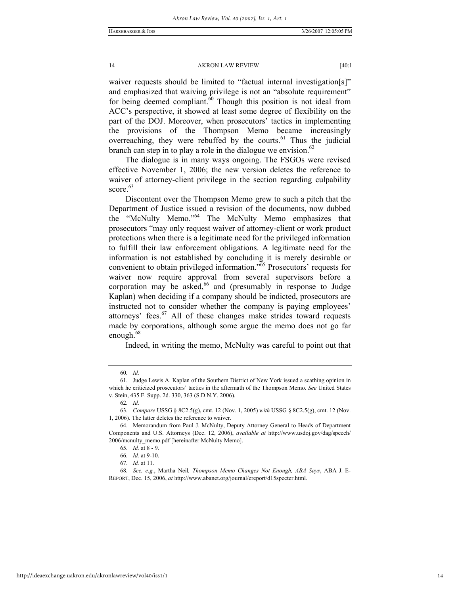waiver requests should be limited to "factual internal investigation[s]" and emphasized that waiving privilege is not an "absolute requirement" for being deemed compliant. $\stackrel{60}{\ }$  Though this position is not ideal from ACC's perspective, it showed at least some degree of flexibility on the part of the DOJ. Moreover, when prosecutors' tactics in implementing the provisions of the Thompson Memo became increasingly overreaching, they were rebuffed by the courts.<sup>61</sup> Thus the judicial branch can step in to play a role in the dialogue we envision.<sup>62</sup>

The dialogue is in many ways ongoing. The FSGOs were revised effective November 1, 2006; the new version deletes the reference to waiver of attorney-client privilege in the section regarding culpability score.<sup>63</sup>

Discontent over the Thompson Memo grew to such a pitch that the Department of Justice issued a revision of the documents, now dubbed the "McNulty Memo."64 The McNulty Memo emphasizes that prosecutors "may only request waiver of attorney-client or work product protections when there is a legitimate need for the privileged information to fulfill their law enforcement obligations. A legitimate need for the information is not established by concluding it is merely desirable or convenient to obtain privileged information."65 Prosecutors' requests for waiver now require approval from several supervisors before a corporation may be asked, $66$  and (presumably in response to Judge Kaplan) when deciding if a company should be indicted, prosecutors are instructed not to consider whether the company is paying employees' attorneys' fees. $67$  All of these changes make strides toward requests made by corporations, although some argue the memo does not go far enough.<sup>68</sup>

Indeed, in writing the memo, McNulty was careful to point out that

62*. Id.*

<sup>60</sup>*. Id.*

 <sup>61.</sup> Judge Lewis A. Kaplan of the Southern District of New York issued a scathing opinion in which he criticized prosecutors' tactics in the aftermath of the Thompson Memo. *See* United States v. Stein, 435 F. Supp. 2d. 330, 363 (S.D.N.Y. 2006).

<sup>63</sup>*. Compare* USSG § 8C2.5(g), cmt. 12 (Nov. 1, 2005) *with* USSG § 8C2.5(g), cmt. 12 (Nov. 1, 2006). The latter deletes the reference to waiver.

 <sup>64.</sup> Memorandum from Paul J. McNulty, Deputy Attorney General to Heads of Department Components and U.S. Attorneys (Dec. 12, 2006), *available at* http://www.usdoj.gov/dag/speech/ 2006/mcnulty\_memo.pdf [hereinafter McNulty Memo].

<sup>65</sup>*. Id.* at 8 - 9.

<sup>66</sup>*. Id.* at 9-10.

<sup>67</sup>*. Id.* at 11.

<sup>68</sup>*. See, e.g.*, Martha Neil*, Thompson Memo Changes Not Enough, ABA Says*, ABA J. E-REPORT, Dec. 15, 2006, *at* http://www.abanet.org/journal/ereport/d15specter.html.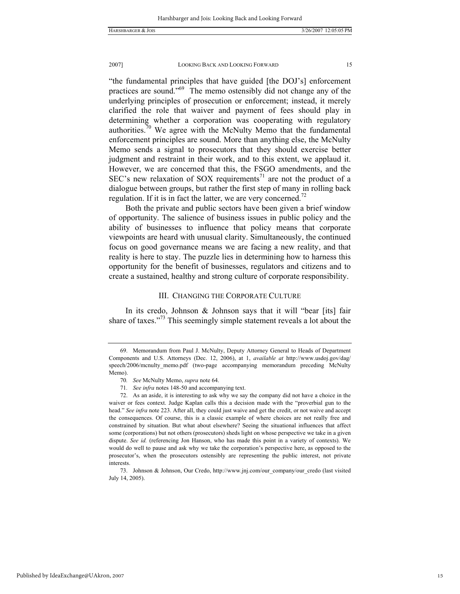"the fundamental principles that have guided [the DOJ's] enforcement practices are sound."69 The memo ostensibly did not change any of the underlying principles of prosecution or enforcement; instead, it merely clarified the role that waiver and payment of fees should play in determining whether a corporation was cooperating with regulatory authorities.<sup>70</sup> We agree with the McNulty Memo that the fundamental enforcement principles are sound. More than anything else, the McNulty Memo sends a signal to prosecutors that they should exercise better judgment and restraint in their work, and to this extent, we applaud it. However, we are concerned that this, the FSGO amendments, and the SEC's new relaxation of SOX requirements<sup>71</sup> are not the product of a dialogue between groups, but rather the first step of many in rolling back regulation. If it is in fact the latter, we are very concerned.<sup>72</sup>

Both the private and public sectors have been given a brief window of opportunity. The salience of business issues in public policy and the ability of businesses to influence that policy means that corporate viewpoints are heard with unusual clarity. Simultaneously, the continued focus on good governance means we are facing a new reality, and that reality is here to stay. The puzzle lies in determining how to harness this opportunity for the benefit of businesses, regulators and citizens and to create a sustained, healthy and strong culture of corporate responsibility.

### III. CHANGING THE CORPORATE CULTURE

In its credo, Johnson & Johnson says that it will "bear [its] fair share of taxes."<sup>73</sup> This seemingly simple statement reveals a lot about the

 <sup>69.</sup> Memorandum from Paul J. McNulty, Deputy Attorney General to Heads of Department Components and U.S. Attorneys (Dec. 12, 2006), at 1, *available at* http://www.usdoj.gov/dag/ speech/2006/mcnulty\_memo.pdf (two-page accompanying memorandum preceding McNulty Memo).

<sup>70</sup>*. See* McNulty Memo, *supra* note 64.

<sup>71</sup>*. See infra* notes 148-50 and accompanying text.

 <sup>72.</sup> As an aside, it is interesting to ask why we say the company did not have a choice in the waiver or fees context. Judge Kaplan calls this a decision made with the "proverbial gun to the head." *See infra* note 223. After all, they could just waive and get the credit, or not waive and accept the consequences. Of course, this is a classic example of where choices are not really free and constrained by situation. But what about elsewhere? Seeing the situational influences that affect some (corporations) but not others (prosecutors) sheds light on whose perspective we take in a given dispute. *See id.* (referencing Jon Hanson, who has made this point in a variety of contexts). We would do well to pause and ask why we take the corporation's perspective here, as opposed to the prosecutor's, when the prosecutors ostensibly are representing the public interest, not private interests.

 <sup>73.</sup> Johnson & Johnson, Our Credo, http://www.jnj.com/our\_company/our\_credo (last visited July 14, 2005).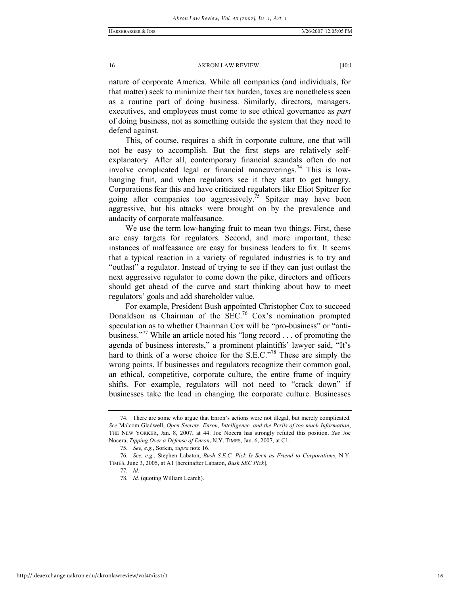nature of corporate America. While all companies (and individuals, for that matter) seek to minimize their tax burden, taxes are nonetheless seen as a routine part of doing business. Similarly, directors, managers, executives, and employees must come to see ethical governance as *part*  of doing business, not as something outside the system that they need to defend against.

This, of course, requires a shift in corporate culture, one that will not be easy to accomplish. But the first steps are relatively selfexplanatory. After all, contemporary financial scandals often do not involve complicated legal or financial maneuverings.<sup>74</sup> This is lowhanging fruit, and when regulators see it they start to get hungry. Corporations fear this and have criticized regulators like Eliot Spitzer for going after companies too aggressively.<sup>75</sup> Spitzer may have been aggressive, but his attacks were brought on by the prevalence and audacity of corporate malfeasance.

We use the term low-hanging fruit to mean two things. First, these are easy targets for regulators. Second, and more important, these instances of malfeasance are easy for business leaders to fix. It seems that a typical reaction in a variety of regulated industries is to try and "outlast" a regulator. Instead of trying to see if they can just outlast the next aggressive regulator to come down the pike, directors and officers should get ahead of the curve and start thinking about how to meet regulators' goals and add shareholder value.

For example, President Bush appointed Christopher Cox to succeed Donaldson as Chairman of the SEC.<sup>76</sup> Cox's nomination prompted speculation as to whether Chairman Cox will be "pro-business" or "antibusiness."<sup>77</sup> While an article noted his "long record . . . of promoting the agenda of business interests," a prominent plaintiffs' lawyer said, "It's hard to think of a worse choice for the S.E.C."<sup>78</sup> These are simply the wrong points. If businesses and regulators recognize their common goal, an ethical, competitive, corporate culture, the entire frame of inquiry shifts. For example, regulators will not need to "crack down" if businesses take the lead in changing the corporate culture. Businesses

77*. Id.*

 <sup>74.</sup> There are some who argue that Enron's actions were not illegal, but merely complicated. *See* Malcom Gladwell, *Open Secrets: Enron, Intelligence, and the Perils of too much Information*, THE NEW YORKER, Jan. 8, 2007, at 44. Joe Nocera has strongly refuted this position. *See* Joe Nocera, *Tipping Over a Defense of Enron*, N.Y. TIMES, Jan. 6, 2007, at C1.

<sup>75</sup>*. See, e.g.*, Sorkin, *supra* note 16.

<sup>76</sup>*. See, e.g.*, Stephen Labaton, *Bush S.E.C. Pick Is Seen as Friend to Corporations*, N.Y. TIMES, June 3, 2005, at A1 [hereinafter Labaton, *Bush SEC Pick*].

<sup>78.</sup> Id. (quoting William Learch).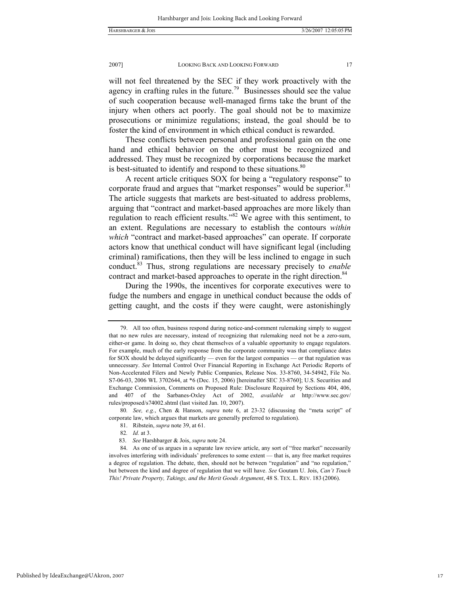will not feel threatened by the SEC if they work proactively with the agency in crafting rules in the future.<sup>79</sup> Businesses should see the value of such cooperation because well-managed firms take the brunt of the injury when others act poorly. The goal should not be to maximize prosecutions or minimize regulations; instead, the goal should be to foster the kind of environment in which ethical conduct is rewarded.

These conflicts between personal and professional gain on the one hand and ethical behavior on the other must be recognized and addressed. They must be recognized by corporations because the market is best-situated to identify and respond to these situations.<sup>80</sup>

A recent article critiques SOX for being a "regulatory response" to corporate fraud and argues that "market responses" would be superior.<sup>81</sup> The article suggests that markets are best-situated to address problems, arguing that "contract and market-based approaches are more likely than regulation to reach efficient results."82 We agree with this sentiment, to an extent. Regulations are necessary to establish the contours *within*  which "contract and market-based approaches" can operate. If corporate actors know that unethical conduct will have significant legal (including criminal) ramifications, then they will be less inclined to engage in such conduct.83 Thus, strong regulations are necessary precisely to *enable*  contract and market-based approaches to operate in the right direction.<sup>84</sup>

During the 1990s, the incentives for corporate executives were to fudge the numbers and engage in unethical conduct because the odds of getting caught, and the costs if they were caught, were astonishingly

Published by IdeaExchange@UAkron, 2007

 <sup>79.</sup> All too often, business respond during notice-and-comment rulemaking simply to suggest that no new rules are necessary, instead of recognizing that rulemaking need not be a zero-sum, either-or game. In doing so, they cheat themselves of a valuable opportunity to engage regulators. For example, much of the early response from the corporate community was that compliance dates for SOX should be delayed significantly — even for the largest companies — or that regulation was unnecessary. *See* Internal Control Over Financial Reporting in Exchange Act Periodic Reports of Non-Accelerated Filers and Newly Public Companies, Release Nos. 33-8760, 34-54942, File No. S7-06-03, 2006 WL 3702644, at \*6 (Dec. 15, 2006) [hereinafter SEC 33-8760]; U.S. Securities and Exchange Commission, Comments on Proposed Rule: Disclosure Required by Sections 404, 406, and 407 of the Sarbanes-Oxley Act of 2002, *available at* http://www.sec.gov/ rules/proposed/s74002.shtml (last visited Jan. 10, 2007).

<sup>80</sup>*. See, e.g.*, Chen & Hanson, *supra* note 6, at 23-32 (discussing the "meta script" of corporate law, which argues that markets are generally preferred to regulation).

 <sup>81.</sup> Ribstein, *supra* note 39, at 61.

<sup>82</sup>*. Id.* at 3.

 <sup>83.</sup> *See* Harshbarger & Jois, *supra* note 24.

 <sup>84.</sup> As one of us argues in a separate law review article, any sort of "free market" necessarily involves interfering with individuals' preferences to some extent — that is, any free market requires a degree of regulation. The debate, then, should not be between "regulation" and "no regulation," but between the kind and degree of regulation that we will have. *See* Goutam U. Jois, *Can't Touch This! Private Property, Takings, and the Merit Goods Argument*, 48 S. TEX. L. REV. 183 (2006).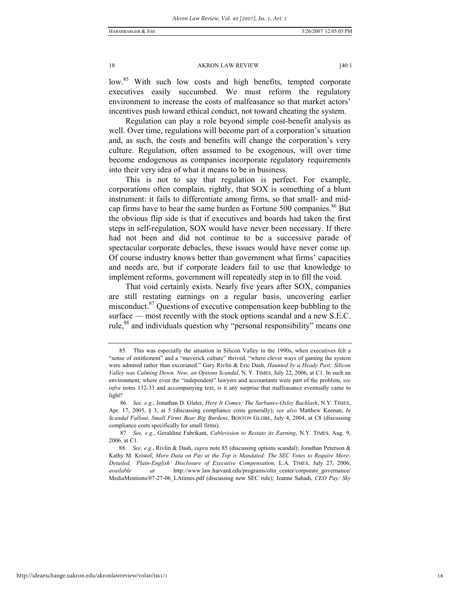low.<sup>85</sup> With such low costs and high benefits, tempted corporate executives easily succumbed. We must reform the regulatory environment to increase the costs of malfeasance so that market actors' incentives push toward ethical conduct, not toward cheating the system.

Regulation can play a role beyond simple cost-benefit analysis as well. Over time, regulations will become part of a corporation's situation and, as such, the costs and benefits will change the corporation's very culture. Regulation, often assumed to be exogenous, will over time become endogenous as companies incorporate regulatory requirements into their very idea of what it means to be in business.

This is not to say that regulation is perfect. For example, corporations often complain, rightly, that SOX is something of a blunt instrument: it fails to differentiate among firms, so that small- and midcap firms have to bear the same burden as Fortune 500 companies.<sup>86</sup> But the obvious flip side is that if executives and boards had taken the first steps in self-regulation, SOX would have never been necessary. If there had not been and did not continue to be a successive parade of spectacular corporate debacles, these issues would have never come up. Of course industry knows better than government what firms' capacities and needs are, but if corporate leaders fail to use that knowledge to implement reforms, government will repeatedly step in to fill the void.

That void certainly exists. Nearly five years after SOX, companies are still restating earnings on a regular basis, uncovering earlier misconduct.87 Questions of executive compensation keep bubbling to the surface — most recently with the stock options scandal and a new S.E.C. rule,<sup>88</sup> and individuals question why "personal responsibility" means one

 <sup>85.</sup> This was especially the situation in Silicon Valley in the 1990s, when executives felt a "sense of entitlement" and a "maverick culture" thrived, "where clever ways of gaming the system were admired rather than excoriated." Gary Rivlin & Eric Dash, *Haunted by a Heady Past; Silicon Valley was Calming Down. Now, an Options Scandal*, N. Y. TIMES, July 22, 2006, at C1. In such an environment, where even the "independent" lawyers and accountants were part of the problem, *see infra* notes 132-33 and accompanying text, is it any surprise that malfeasance eventually came to light?

<sup>86</sup>*. See, e.g.*, Jonathan D. Glater, *Here It Comes: The Sarbanes-Oxley Backlash*, N.Y. TIMES, Apr. 17, 2005, § 3, at 5 (discussing compliance costs generally); *see also* Matthew Keenan, *In Scandal Fallout, Small Firms Bear Big Burdens*, BOSTON GLOBE, July 4, 2004, at C8 (discussing compliance costs specifically for small firms).

<sup>87</sup>*. See, e.g.*, Geraldine Fabrikant, *Cablevision to Restate its Earning*, N.Y. TIMES, Aug. 9, 2006, at C1.

 <sup>88.</sup> *See, e.g.*, Rivlin & Dash, *supra* note 85 (discussing options scandal); Jonathan Peterson & Kathy M. Kristof, *More Data on Pay at the Top is Mandated: The SEC Votes to Require More-Detailed, 'Plain-English' Disclosure of Executive Compensation,* L.A. TIMES, July 27, 2006, *available at* http://www.law.harvard.edu/programs/olin\_center/corporate\_governance/ MediaMentions/07-27-06\_LAtimes.pdf (discussing new SEC rule); Jeanne Sahadi, *CEO Pay: Sky*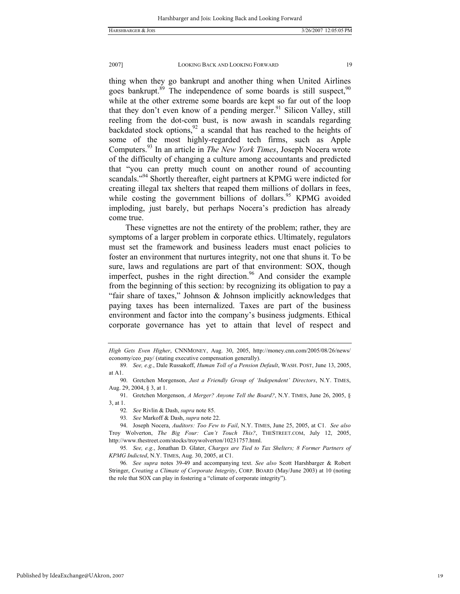thing when they go bankrupt and another thing when United Airlines goes bankrupt. $89$  The independence of some boards is still suspect,  $90$ while at the other extreme some boards are kept so far out of the loop that they don't even know of a pending merger.<sup>91</sup> Silicon Valley, still reeling from the dot-com bust, is now awash in scandals regarding backdated stock options,  $92$  a scandal that has reached to the heights of some of the most highly-regarded tech firms, such as Apple Computers.93 In an article in *The New York Times*, Joseph Nocera wrote of the difficulty of changing a culture among accountants and predicted that "you can pretty much count on another round of accounting scandals."<sup>94</sup> Shortly thereafter, eight partners at KPMG were indicted for creating illegal tax shelters that reaped them millions of dollars in fees, while costing the government billions of dollars.<sup>95</sup> KPMG avoided imploding, just barely, but perhaps Nocera's prediction has already come true.

These vignettes are not the entirety of the problem; rather, they are symptoms of a larger problem in corporate ethics. Ultimately, regulators must set the framework and business leaders must enact policies to foster an environment that nurtures integrity, not one that shuns it. To be sure, laws and regulations are part of that environment: SOX, though imperfect, pushes in the right direction. $96$  And consider the example from the beginning of this section: by recognizing its obligation to pay a "fair share of taxes," Johnson & Johnson implicitly acknowledges that paying taxes has been internalized. Taxes are part of the business environment and factor into the company's business judgments. Ethical corporate governance has yet to attain that level of respect and

*High Gets Even Higher*, CNNMONEY, Aug. 30, 2005, http://money.cnn.com/2005/08/26/news/ economy/ceo\_pay/ (stating executive compensation generally).

<sup>89</sup>*. See, e.g.*, Dale Russakoff, *Human Toll of a Pension Default*, WASH. POST, June 13, 2005, at A1.

 <sup>90.</sup> Gretchen Morgenson, *Just a Friendly Group of 'Independent' Directors*, N.Y. TIMES, Aug. 29, 2004, § 3, at 1.

 <sup>91.</sup> Gretchen Morgenson, *A Merger? Anyone Tell the Board?*, N.Y. TIMES, June 26, 2005, § 3, at 1.

<sup>92</sup>*. See* Rivlin & Dash, *supra* note 85.

<sup>93</sup>*. See* Markoff & Dash, *supra* note 22.

 <sup>94.</sup> Joseph Nocera, *Auditors: Too Few to Fail*, N.Y. TIMES, June 25, 2005, at C1. *See also* Troy Wolverton, *The Big Four: Can't Touch This?*, THESTREET.COM, July 12, 2005, http://www.thestreet.com/stocks/troywolverton/10231757.html.

<sup>95</sup>*. See, e.g.*, Jonathan D. Glater, *Charges are Tied to Tax Shelters; 8 Former Partners of KPMG Indicted*, N.Y. TIMES, Aug. 30, 2005, at C1.

<sup>96</sup>*. See supra* notes 39-49 and accompanying text. *See also* Scott Harshbarger & Robert Stringer, *Creating a Climate of Corporate Integrity*, CORP. BOARD (May/June 2003) at 10 (noting the role that SOX can play in fostering a "climate of corporate integrity").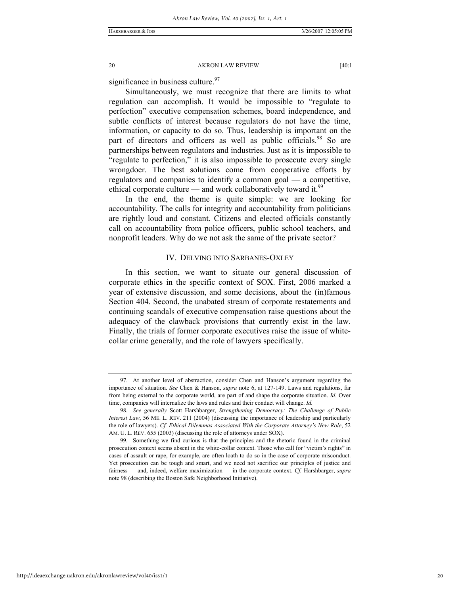significance in business culture.<sup>97</sup>

Simultaneously, we must recognize that there are limits to what regulation can accomplish. It would be impossible to "regulate to perfection" executive compensation schemes, board independence, and subtle conflicts of interest because regulators do not have the time, information, or capacity to do so. Thus, leadership is important on the part of directors and officers as well as public officials.<sup>98</sup> So are partnerships between regulators and industries. Just as it is impossible to "regulate to perfection," it is also impossible to prosecute every single wrongdoer. The best solutions come from cooperative efforts by regulators and companies to identify a common goal — a competitive, ethical corporate culture — and work collaboratively toward it.<sup>99</sup>

In the end, the theme is quite simple: we are looking for accountability. The calls for integrity and accountability from politicians are rightly loud and constant. Citizens and elected officials constantly call on accountability from police officers, public school teachers, and nonprofit leaders. Why do we not ask the same of the private sector?

# IV. DELVING INTO SARBANES-OXLEY

In this section, we want to situate our general discussion of corporate ethics in the specific context of SOX. First, 2006 marked a year of extensive discussion, and some decisions, about the (in)famous Section 404. Second, the unabated stream of corporate restatements and continuing scandals of executive compensation raise questions about the adequacy of the clawback provisions that currently exist in the law. Finally, the trials of former corporate executives raise the issue of whitecollar crime generally, and the role of lawyers specifically.

 <sup>97.</sup> At another level of abstraction, consider Chen and Hanson's argument regarding the importance of situation. *See* Chen & Hanson, *supra* note 6, at 127-149. Laws and regulations, far from being external to the corporate world, are part of and shape the corporate situation. *Id.* Over time, companies will internalize the laws and rules and their conduct will change. *Id.*

<sup>98</sup>*. See generally* Scott Harshbarger, *Strengthening Democracy: The Challenge of Public Interest Law*, 56 ME. L. REV. 211 (2004) (discussing the importance of leadership and particularly the role of lawyers). *Cf. Ethical Dilemmas Associated With the Corporate Attorney's New Role*, 52 AM. U. L. REV. 655 (2003) (discussing the role of attorneys under SOX).

<sup>99</sup>*.* Something we find curious is that the principles and the rhetoric found in the criminal prosecution context seems absent in the white-collar context. Those who call for "victim's rights" in cases of assault or rape, for example, are often loath to do so in the case of corporate misconduct. Yet prosecution can be tough and smart, and we need not sacrifice our principles of justice and fairness — and, indeed, welfare maximization — in the corporate context. *Cf.* Harshbarger, *supra*  note 98 (describing the Boston Safe Neighborhood Initiative).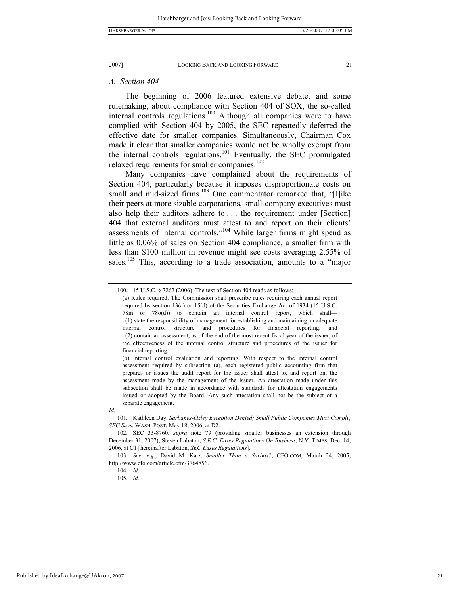### *A. Section 404*

The beginning of 2006 featured extensive debate, and some rulemaking, about compliance with Section 404 of SOX, the so-called internal controls regulations.100 Although all companies were to have complied with Section 404 by 2005, the SEC repeatedly deferred the effective date for smaller companies. Simultaneously, Chairman Cox made it clear that smaller companies would not be wholly exempt from the internal controls regulations.<sup>101</sup> Eventually, the SEC promulgated relaxed requirements for smaller companies.<sup>102</sup>

Many companies have complained about the requirements of Section 404, particularly because it imposes disproportionate costs on small and mid-sized firms.<sup>103</sup> One commentator remarked that, "[l]ike their peers at more sizable corporations, small-company executives must also help their auditors adhere to . . . the requirement under [Section] 404 that external auditors must attest to and report on their clients' assessments of internal controls."104 While larger firms might spend as little as 0.06% of sales on Section 404 compliance, a smaller firm with less than \$100 million in revenue might see costs averaging 2.55% of sales.<sup>105</sup> This, according to a trade association, amounts to a "major

 <sup>100. 15</sup> U.S.C. § 7262 (2006). The text of Section 404 reads as follows:

<sup>(</sup>a) Rules required. The Commission shall prescribe rules requiring each annual report required by section 13(a) or 15(d) of the Securities Exchange Act of 1934 (15 U.S.C. 78m or 78o(d)) to contain an internal control report, which shall— (1) state the responsibility of management for establishing and maintaining an adequate internal control structure and procedures for financial reporting; and (2) contain an assessment, as of the end of the most recent fiscal year of the issuer, of the effectiveness of the internal control structure and procedures of the issuer for financial reporting.

<sup>(</sup>b) Internal control evaluation and reporting. With respect to the internal control assessment required by subsection (a), each registered public accounting firm that prepares or issues the audit report for the issuer shall attest to, and report on, the assessment made by the management of the issuer. An attestation made under this subsection shall be made in accordance with standards for attestation engagements issued or adopted by the Board. Any such attestation shall not be the subject of a separate engagement.

*Id.*

 <sup>101.</sup> Kathleen Day, *Sarbanes-Oxley Exception Denied; Small Public Companies Must Comply, SEC Says*, WASH. POST, May 18, 2006, at D2.

 <sup>102.</sup> SEC 33-8760, *supra* note 79 (providing smaller businesses an extension through December 31, 2007); Steven Labaton, *S.E.C. Eases Regulations On Business,* N.Y. TIMES, Dec. 14, 2006, at C1 [hereinafter Labaton, *SEC Eases Regulations*].

<sup>103</sup>*. See, e.g.*, David M. Katz, *Smaller Than a Sarbox?*, CFO.COM, March 24, 2005, http://www.cfo.com/article.cfm/3764856.

<sup>104</sup>*. Id.* 105*. Id.*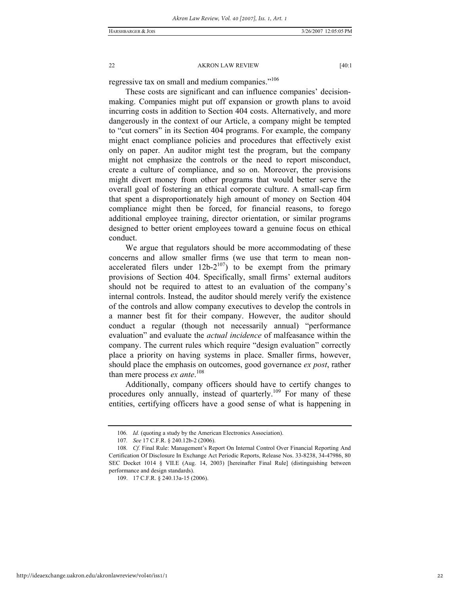regressive tax on small and medium companies."<sup>106</sup>

These costs are significant and can influence companies' decisionmaking. Companies might put off expansion or growth plans to avoid incurring costs in addition to Section 404 costs. Alternatively, and more dangerously in the context of our Article, a company might be tempted to "cut corners" in its Section 404 programs. For example, the company might enact compliance policies and procedures that effectively exist only on paper. An auditor might test the program, but the company might not emphasize the controls or the need to report misconduct, create a culture of compliance, and so on. Moreover, the provisions might divert money from other programs that would better serve the overall goal of fostering an ethical corporate culture. A small-cap firm that spent a disproportionately high amount of money on Section 404 compliance might then be forced, for financial reasons, to forego additional employee training, director orientation, or similar programs designed to better orient employees toward a genuine focus on ethical conduct.

We argue that regulators should be more accommodating of these concerns and allow smaller firms (we use that term to mean nonaccelerated filers under  $12b-2^{107}$  to be exempt from the primary provisions of Section 404. Specifically, small firms' external auditors should not be required to attest to an evaluation of the company's internal controls. Instead, the auditor should merely verify the existence of the controls and allow company executives to develop the controls in a manner best fit for their company. However, the auditor should conduct a regular (though not necessarily annual) "performance evaluation" and evaluate the *actual incidence* of malfeasance within the company. The current rules which require "design evaluation" correctly place a priority on having systems in place. Smaller firms, however, should place the emphasis on outcomes, good governance *ex post*, rather than mere process *ex ante*. 108

Additionally, company officers should have to certify changes to procedures only annually, instead of quarterly.<sup>109</sup> For many of these entities, certifying officers have a good sense of what is happening in

<sup>106</sup>*. Id.* (quoting a study by the American Electronics Association).

<sup>107</sup>*. See* 17 C.F.R. § 240.12b-2 (2006).

<sup>108.</sup> Cf. Final Rule: Management's Report On Internal Control Over Financial Reporting And Certification Of Disclosure In Exchange Act Periodic Reports, Release Nos. 33-8238, 34-47986, 80 SEC Docket 1014 § VII.E (Aug. 14, 2003) [hereinafter Final Rule] (distinguishing between performance and design standards).

 <sup>109. 17</sup> C.F.R. § 240.13a-15 (2006).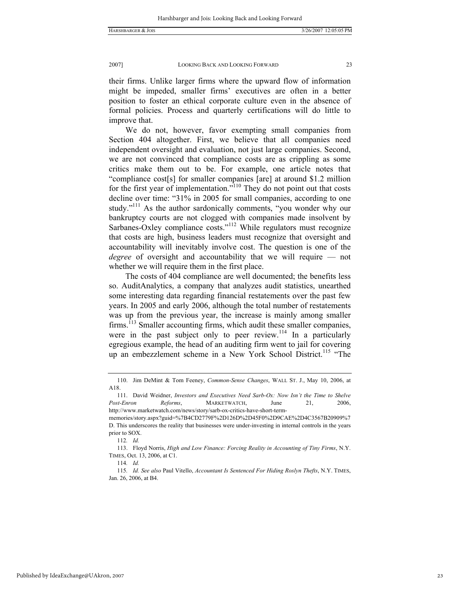their firms. Unlike larger firms where the upward flow of information might be impeded, smaller firms' executives are often in a better position to foster an ethical corporate culture even in the absence of formal policies. Process and quarterly certifications will do little to improve that.

We do not, however, favor exempting small companies from Section 404 altogether. First, we believe that all companies need independent oversight and evaluation, not just large companies. Second, we are not convinced that compliance costs are as crippling as some critics make them out to be. For example, one article notes that "compliance cost[s] for smaller companies [are] at around \$1.2 million for the first year of implementation."<sup>110</sup> They do not point out that costs decline over time: "31% in 2005 for small companies, according to one study."<sup>111</sup> As the author sardonically comments, "you wonder why our bankruptcy courts are not clogged with companies made insolvent by Sarbanes-Oxley compliance costs."<sup>112</sup> While regulators must recognize that costs are high, business leaders must recognize that oversight and accountability will inevitably involve cost. The question is one of the *degree* of oversight and accountability that we will require — not whether we will require them in the first place.

The costs of 404 compliance are well documented; the benefits less so. AuditAnalytics, a company that analyzes audit statistics, unearthed some interesting data regarding financial restatements over the past few years. In 2005 and early 2006, although the total number of restatements was up from the previous year, the increase is mainly among smaller firms.<sup>113</sup> Smaller accounting firms, which audit these smaller companies, were in the past subject only to peer review.<sup>114</sup> In a particularly egregious example, the head of an auditing firm went to jail for covering up an embezzlement scheme in a New York School District.<sup>115</sup> "The

 <sup>110.</sup> Jim DeMint & Tom Feeney, *Common-Sense Changes*, WALL ST. J., May 10, 2006, at A18.

 <sup>111.</sup> David Weidner, *Investors and Executives Need Sarb-Ox: Now Isn't the Time to Shelve Post-Enron Reforms*, MARKETWATCH, June 21, 2006, http://www.marketwatch.com/news/story/sarb-ox-critics-have-short-term-

memories/story.aspx?guid=%7B4CD2779F%2D126D%2D45F0%2D9CAE%2D4C3567B20909%7 D. This underscores the reality that businesses were under-investing in internal controls in the years prior to SOX.

<sup>112</sup>*. Id.*

 <sup>113.</sup> Floyd Norris, *High and Low Finance: Forcing Reality in Accounting of Tiny Firms*, N.Y. TIMES, Oct. 13, 2006, at C1.

<sup>114</sup>*. Id.*

<sup>115</sup>*. Id. See also* Paul Vitello, *Accountant Is Sentenced For Hiding Roslyn Thefts*, N.Y. TIMES, Jan. 26, 2006, at B4.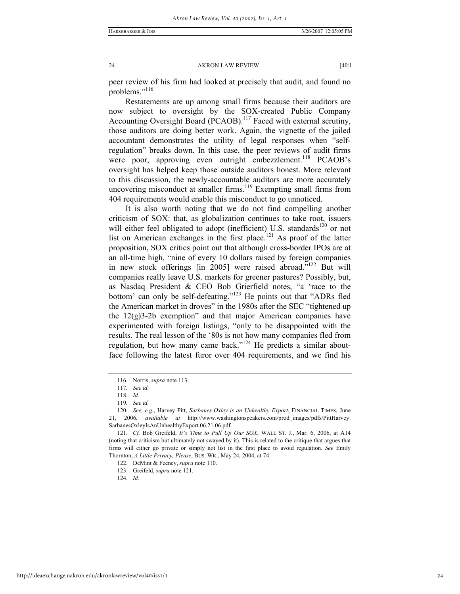peer review of his firm had looked at precisely that audit, and found no problems."<sup>116</sup>

Restatements are up among small firms because their auditors are now subject to oversight by the SOX-created Public Company Accounting Oversight Board (PCAOB).<sup>117</sup> Faced with external scrutiny, those auditors are doing better work. Again, the vignette of the jailed accountant demonstrates the utility of legal responses when "selfregulation" breaks down. In this case, the peer reviews of audit firms were poor, approving even outright embezzlement.<sup>118</sup> PCAOB's oversight has helped keep those outside auditors honest. More relevant to this discussion, the newly-accountable auditors are more accurately uncovering misconduct at smaller firms.<sup>119</sup> Exempting small firms from 404 requirements would enable this misconduct to go unnoticed.

It is also worth noting that we do not find compelling another criticism of SOX: that, as globalization continues to take root, issuers will either feel obligated to adopt (inefficient) U.S. standards<sup>120</sup> or not list on American exchanges in the first place.<sup>121</sup> As proof of the latter proposition, SOX critics point out that although cross-border IPOs are at an all-time high, "nine of every 10 dollars raised by foreign companies in new stock offerings [in 2005] were raised abroad."122 But will companies really leave U.S. markets for greener pastures? Possibly, but, as Nasdaq President & CEO Bob Grierfield notes, "a 'race to the bottom' can only be self-defeating."<sup>123</sup> He points out that "ADRs fled the American market in droves" in the 1980s after the SEC "tightened up the 12(g)3-2b exemption" and that major American companies have experimented with foreign listings, "only to be disappointed with the results. The real lesson of the '80s is not how many companies fled from regulation, but how many came back."124 He predicts a similar aboutface following the latest furor over 404 requirements, and we find his

 <sup>116.</sup> Norris, *supra* note 113.

<sup>117</sup>*. See id.*

<sup>118</sup>*. Id.*

<sup>119</sup>*. See id.*

<sup>120</sup>*. See, e.g.*, Harvey Pitt, *Sarbanes-Oxley is an Unhealthy Export*, FINANCIAL TIMES, June 21, 2006, *available at* http://www.washingtonspeakers.com/prod\_images/pdfs/PittHarvey. SarbanesOxleyIsAnUnhealthyExport.06.21.06.pdf.

<sup>121</sup>*. Cf.* Bob Greifeld, *It's Time to Pull Up Our SOX*, WALL ST. J., Mar. 6, 2006, at A14 (noting that criticism but ultimately not swayed by it). This is related to the critique that argues that firms will either go private or simply not list in the first place to avoid regulation. *See* Emily Thornton, *A Little Privacy, Please*, BUS. WK., May 24, 2004, at 74.

 <sup>122.</sup> DeMint & Feeney, *supra* note 110.

 <sup>123.</sup> Greifeld, *supra* note 121.

<sup>124</sup>*. Id.*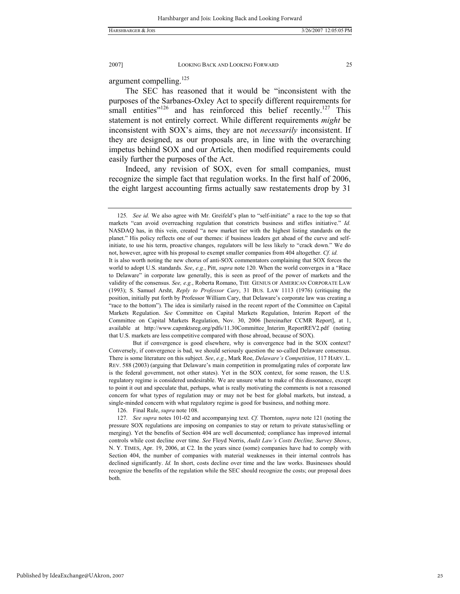argument compelling.<sup>125</sup>

The SEC has reasoned that it would be "inconsistent with the purposes of the Sarbanes-Oxley Act to specify different requirements for small entities"<sup>126</sup> and has reinforced this belief recently.<sup>127</sup> This statement is not entirely correct. While different requirements *might* be inconsistent with SOX's aims, they are not *necessarily* inconsistent. If they are designed, as our proposals are, in line with the overarching impetus behind SOX and our Article, then modified requirements could easily further the purposes of the Act.

Indeed, any revision of SOX, even for small companies, must recognize the simple fact that regulation works. In the first half of 2006, the eight largest accounting firms actually saw restatements drop by 31

 But if convergence is good elsewhere, why is convergence bad in the SOX context? Conversely, if convergence is bad, we should seriously question the so-called Delaware consensus. There is some literature on this subject. *See*, *e.g.*, Mark Roe, *Delaware's Competition*, 117 HARV. L. REV. 588 (2003) (arguing that Delaware's main competition in promulgating rules of corporate law is the federal government, not other states). Yet in the SOX context, for some reason, the U.S. regulatory regime is considered undesirable. We are unsure what to make of this dissonance, except to point it out and speculate that, perhaps, what is really motivating the comments is not a reasoned concern for what types of regulation may or may not be best for global markets, but instead, a single-minded concern with what regulatory regime is good for business, and nothing more.

126. Final Rule, *supra* note 108.

<sup>125</sup>*. See id.* We also agree with Mr. Greifeld's plan to "self-initiate" a race to the top so that markets "can avoid overreaching regulation that constricts business and stifles initiative." *Id.* NASDAQ has, in this vein, created "a new market tier with the highest listing standards on the planet." His policy reflects one of our themes: if business leaders get ahead of the curve and selfinitiate, to use his term, proactive changes, regulators will be less likely to "crack down." We do not, however, agree with his proposal to exempt smaller companies from 404 altogether. *Cf. id.* 

It is also worth noting the new chorus of anti-SOX commentators complaining that SOX forces the world to adopt U.S. standards. *See*, *e.g.*, Pitt, *supra* note 120. When the world converges in a "Race to Delaware" in corporate law generally, this is seen as proof of the power of markets and the validity of the consensus. *See, e.g.*, Roberta Romano, THE GENIUS OF AMERICAN CORPORATE LAW (1993); S. Samuel Arsht, *Reply to Professor Cary*, 31 BUS. LAW 1113 (1976) (critiquing the position, initially put forth by Professor William Cary, that Delaware's corporate law was creating a "race to the bottom"). The idea is similarly raised in the recent report of the Committee on Capital Markets Regulation. *See* Committee on Capital Markets Regulation, Interim Report of the Committee on Capital Markets Regulation, Nov. 30, 2006 [hereinafter CCMR Report], at 1, available at http://www.capmktsreg.org/pdfs/11.30Committee\_Interim\_ReportREV2.pdf (noting that U.S. markets are less competitive compared with those abroad, because of SOX).

<sup>127</sup>*. See supra* notes 101-02 and accompanying text. *Cf.* Thornton, *supra* note 121 (noting the pressure SOX regulations are imposing on companies to stay or return to private status/selling or merging). Yet the benefits of Section 404 are well documented; compliance has improved internal controls while cost decline over time. *See* Floyd Norris, *Audit Law's Costs Decline, Survey Shows*, N. Y. TIMES, Apr. 19, 2006, at C2. In the years since (some) companies have had to comply with Section 404, the number of companies with material weaknesses in their internal controls has declined significantly. *Id.* In short, costs decline over time and the law works. Businesses should recognize the benefits of the regulation while the SEC should recognize the costs; our proposal does both.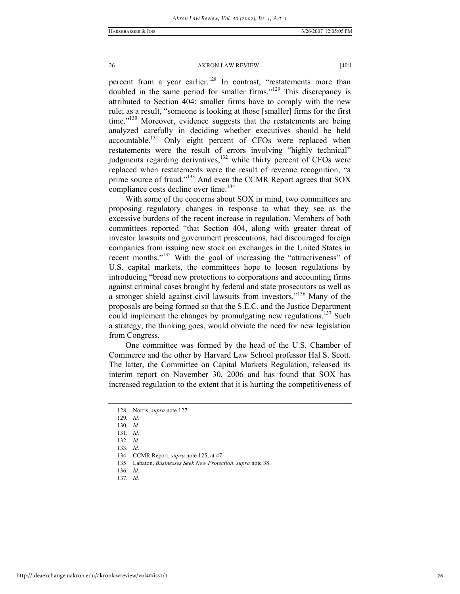percent from a year earlier.<sup>128</sup> In contrast, "restatements more than doubled in the same period for smaller firms."129 This discrepancy is attributed to Section 404: smaller firms have to comply with the new rule; as a result, "someone is looking at those [smaller] firms for the first time."<sup>130</sup> Moreover, evidence suggests that the restatements are being analyzed carefully in deciding whether executives should be held accountable.<sup>131</sup> Only eight percent of CFOs were replaced when restatements were the result of errors involving "highly technical" judgments regarding derivatives,<sup>132</sup> while thirty percent of CFOs were replaced when restatements were the result of revenue recognition, "a prime source of fraud."<sup>133</sup> And even the CCMR Report agrees that SOX compliance costs decline over time.<sup>134</sup>

With some of the concerns about SOX in mind, two committees are proposing regulatory changes in response to what they see as the excessive burdens of the recent increase in regulation. Members of both committees reported "that Section 404, along with greater threat of investor lawsuits and government prosecutions, had discouraged foreign companies from issuing new stock on exchanges in the United States in recent months."<sup>135</sup> With the goal of increasing the "attractiveness" of U.S. capital markets, the committees hope to loosen regulations by introducing "broad new protections to corporations and accounting firms against criminal cases brought by federal and state prosecutors as well as a stronger shield against civil lawsuits from investors."136 Many of the proposals are being formed so that the S.E.C. and the Justice Department could implement the changes by promulgating new regulations.<sup>137</sup> Such a strategy, the thinking goes, would obviate the need for new legislation from Congress.

One committee was formed by the head of the U.S. Chamber of Commerce and the other by Harvard Law School professor Hal S. Scott. The latter, the Committee on Capital Markets Regulation, released its interim report on November 30, 2006 and has found that SOX has increased regulation to the extent that it is hurting the competitiveness of

137*. Id.*

 <sup>128.</sup> Norris, *supra* note 127.

<sup>129</sup>*. Id.*

<sup>130</sup>*. Id.*

<sup>131</sup>*. Id.*

<sup>132</sup>*. Id.*

<sup>133</sup>*. Id.*

 <sup>134.</sup> CCMR Report, *supra* note 125, at 47.

 <sup>135.</sup> Labaton, *Businesses Seek New Protection*, *supra* note 38.

<sup>136</sup>*. Id.*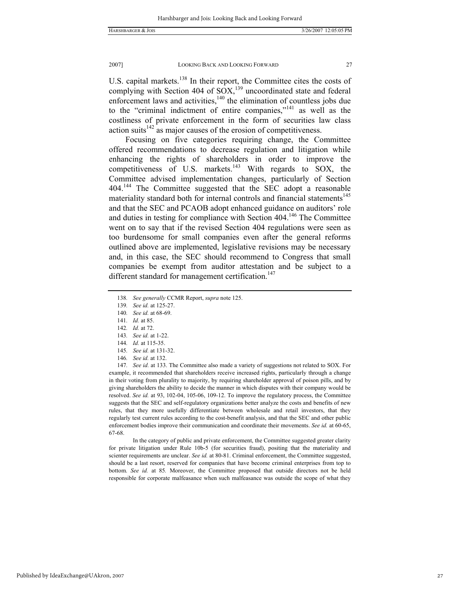U.S. capital markets.<sup>138</sup> In their report, the Committee cites the costs of complying with Section 404 of  $SOX<sub>1</sub><sup>139</sup>$  uncoordinated state and federal enforcement laws and activities,<sup>140</sup> the elimination of countless jobs due to the "criminal indictment of entire companies,"141 as well as the costliness of private enforcement in the form of securities law class action suits $142$  as major causes of the erosion of competitiveness.

Focusing on five categories requiring change, the Committee offered recommendations to decrease regulation and litigation while enhancing the rights of shareholders in order to improve the competitiveness of U.S. markets.<sup>143</sup> With regards to SOX, the Committee advised implementation changes, particularly of Section 404.<sup>144</sup> The Committee suggested that the SEC adopt a reasonable materiality standard both for internal controls and financial statements<sup>145</sup> and that the SEC and PCAOB adopt enhanced guidance on auditors' role and duties in testing for compliance with Section 404.<sup>146</sup> The Committee went on to say that if the revised Section 404 regulations were seen as too burdensome for small companies even after the general reforms outlined above are implemented, legislative revisions may be necessary and, in this case, the SEC should recommend to Congress that small companies be exempt from auditor attestation and be subject to a different standard for management certification.<sup>147</sup>

- 140*. See id.* at 68-69.
- 141*. Id.* at 85.
- 142*. Id.* at 72.
- 143*. See id.* at 1-22.
- 144*. Id.* at 115-35.
- 145*. See id.* at 131-32.
- 146*. See id.* at 132.

147*. See id.* at 133. The Committee also made a variety of suggestions not related to SOX. For example, it recommended that shareholders receive increased rights, particularly through a change in their voting from plurality to majority, by requiring shareholder approval of poison pills, and by giving shareholders the ability to decide the manner in which disputes with their company would be resolved. *See id.* at 93, 102-04, 105-06, 109-12. To improve the regulatory process, the Committee suggests that the SEC and self-regulatory organizations better analyze the costs and benefits of new rules, that they more usefully differentiate between wholesale and retail investors, that they regularly test current rules according to the cost-benefit analysis, and that the SEC and other public enforcement bodies improve their communication and coordinate their movements. *See id.* at 60-65, 67-68.

 In the category of public and private enforcement, the Committee suggested greater clarity for private litigation under Rule 10b-5 (for securities fraud), positing that the materiality and scienter requirements are unclear. *See id.* at 80-81. Criminal enforcement, the Committee suggested, should be a last resort, reserved for companies that have become criminal enterprises from top to bottom. *See id.* at 85*.* Moreover, the Committee proposed that outside directors not be held responsible for corporate malfeasance when such malfeasance was outside the scope of what they

<sup>138</sup>*. See generally* CCMR Report, *supra* note 125.

<sup>139</sup>*. See id.* at 125-27.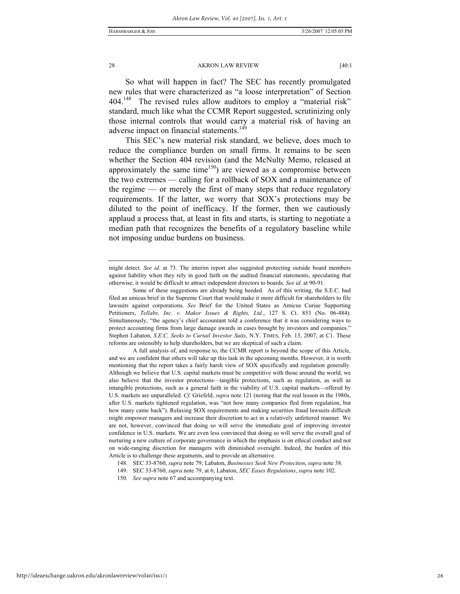So what will happen in fact? The SEC has recently promulgated new rules that were characterized as "a loose interpretation" of Section 404.<sup>148</sup> The revised rules allow auditors to employ a "material risk" standard, much like what the CCMR Report suggested, scrutinizing only those internal controls that would carry a material risk of having an adverse impact on financial statements.<sup>149</sup>

This SEC's new material risk standard, we believe, does much to reduce the compliance burden on small firms. It remains to be seen whether the Section 404 revision (and the McNulty Memo, released at approximately the same time<sup>150</sup>) are viewed as a compromise between the two extremes — calling for a rollback of SOX and a maintenance of the regime — or merely the first of many steps that reduce regulatory requirements. If the latter, we worry that SOX's protections may be diluted to the point of inefficacy. If the former, then we cautiously applaud a process that, at least in fits and starts, is starting to negotiate a median path that recognizes the benefits of a regulatory baseline while not imposing undue burdens on business.

might detect. *See id.* at 73. The interim report also suggested protecting outside board members against liability when they rely in good faith on the audited financial statements, speculating that otherwise, it would be difficult to attract independent directors to boards. *See id.* at 90-91.

Some of these suggestions are already being heeded. As of this writing, the S.E.C. had filed an amicus brief in the Supreme Court that would make it more difficult for shareholders to file lawsuits against corporations. *See* Brief for the United States as Amicus Curiae Supporting Petitioners, *Tellabs, Inc. v. Makor Issues & Rights, Ltd.*, 127 S. Ct. 853 (No. 06-484). Simultaneously, "the agency's chief accountant told a conference that it was considering ways to protect accounting firms from large damage awards in cases brought by investors and companies." Stephen Labaton, *S.E.C. Seeks to Curtail Investor Suits*, N.Y. TIMES, Feb. 13, 2007, at C1. These reforms are ostensibly to help shareholders, but we are skeptical of such a claim.

A full analysis of, and response to, the CCMR report is beyond the scope of this Article, and we are confident that others will take up this task in the upcoming months. However, it is worth mentioning that the report takes a fairly harsh view of SOX specifically and regulation generally. Although we believe that U.S. capital markets must be competitive with those around the world, we also believe that the investor protections—tangible protections, such as regulation, as well as intangible protections, such as a general faith in the viability of U.S. capital markets—offered by U.S. markets are unparalleled. *Cf.* Griefeld, *supra* note 121 (noting that the real lesson in the 1980s, after U.S. markets tightened regulation, was "not how many companies fled from regulation, but how many came back"). Relaxing SOX requirements and making securities fraud lawsuits difficult might empower managers and increase their discretion to act in a relatively unfettered manner. We are not, however, convinced that doing so will serve the immediate goal of improving investor confidence in U.S. markets. We are even less convinced that doing so will serve the overall goal of nurturing a new culture of corporate governance in which the emphasis is on ethical conduct and not on wide-ranging discretion for managers with diminished oversight. Indeed, the burden of this Article is to challenge these arguments, and to provide an alternative.

 <sup>148.</sup> SEC 33-8760, *supra* note 79; Labaton, *Businesses Seek New Protection*, *supra* note 38.

 <sup>149.</sup> SEC 33-8760, *supra* note 79, at 6; Labaton, *SEC Eases Regulations*, *supra* note 102.

<sup>150</sup>*. See supra* note 67 and accompanying text.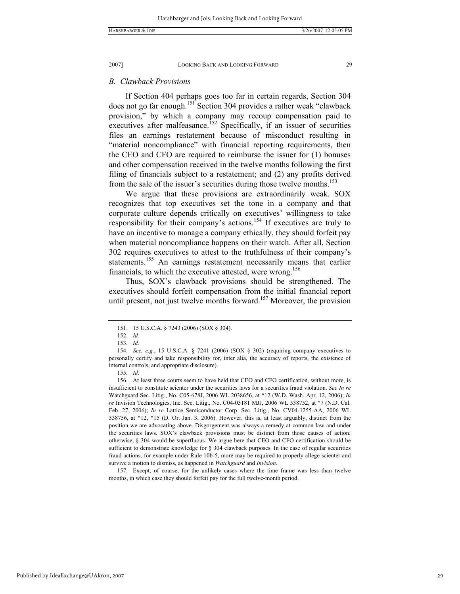### *B. Clawback Provisions*

If Section 404 perhaps goes too far in certain regards, Section 304 does not go far enough.<sup>151</sup> Section 304 provides a rather weak "clawback" provision," by which a company may recoup compensation paid to executives after malfeasance.<sup>152</sup> Specifically, if an issuer of securities files an earnings restatement because of misconduct resulting in "material noncompliance" with financial reporting requirements, then the CEO and CFO are required to reimburse the issuer for (1) bonuses and other compensation received in the twelve months following the first filing of financials subject to a restatement; and (2) any profits derived from the sale of the issuer's securities during those twelve months.<sup>153</sup>

We argue that these provisions are extraordinarily weak. SOX recognizes that top executives set the tone in a company and that corporate culture depends critically on executives' willingness to take responsibility for their company's actions.<sup>154</sup> If executives are truly to have an incentive to manage a company ethically, they should forfeit pay when material noncompliance happens on their watch. After all, Section 302 requires executives to attest to the truthfulness of their company's statements.<sup>155</sup> An earnings restatement necessarily means that earlier financials, to which the executive attested, were wrong.<sup>156</sup>

Thus, SOX's clawback provisions should be strengthened. The executives should forfeit compensation from the initial financial report until present, not just twelve months forward.<sup>157</sup> Moreover, the provision

 156. At least three courts seem to have held that CEO and CFO certification, without more, is insufficient to constitute scienter under the securities laws for a securities fraud violation. *See In re* Watchguard Sec. Litig., No. C05-678J, 2006 WL 2038656, at \*12 (W.D. Wash. Apr. 12, 2006); *In re* Invision Technologies, Inc. Sec. Litig., No. C04-03181 MJJ, 2006 WL 538752, at \*7 (N.D. Cal. Feb. 27, 2006); *In re* Lattice Semiconductor Corp. Sec. Litig., No. CV04-1255-AA, 2006 WL 538756, at \*12, \*15 (D. Or. Jan. 3, 2006). However, this is, at least arguably, distinct from the position we are advocating above. Disgorgement was always a remedy at common law and under the securities laws. SOX's clawback provisions must be distinct from those causes of action; otherwise, § 304 would be superfluous. We argue here that CEO and CFO certification should be sufficient to demonstrate knowledge for  $\S$  304 clawback purposes. In the case of regular securities fraud actions, for example under Rule 10b-5, more may be required to properly allege scienter and survive a motion to dismiss, as happened in *Watchguard* and *Invision*.

 157. Except, of course, for the unlikely cases where the time frame was less than twelve months, in which case they should forfeit pay for the full twelve-month period.

 <sup>151. 15</sup> U.S.C.A. § 7243 (2006) (SOX § 304).

<sup>152</sup>*. Id.*

<sup>153</sup>*. Id.*

<sup>154</sup>*. See, e.g.*, 15 U.S.C.A. § 7241 (2006) (SOX § 302) (requiring company executives to personally certify and take responsibility for, inter alia, the accuracy of reports, the existence of internal controls, and appropriate disclosure).

<sup>155</sup>*. Id.*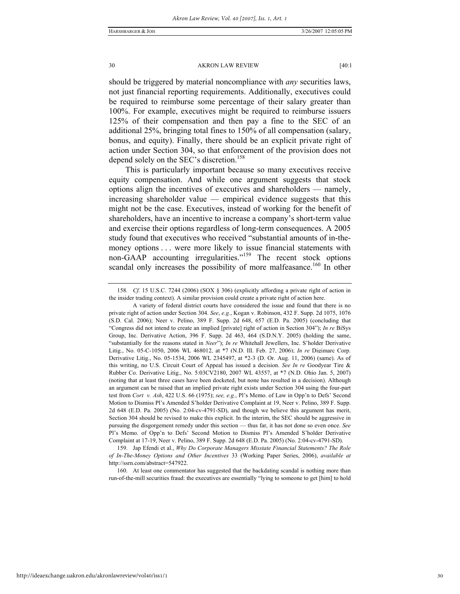should be triggered by material noncompliance with *any* securities laws, not just financial reporting requirements. Additionally, executives could be required to reimburse some percentage of their salary greater than 100%. For example, executives might be required to reimburse issuers 125% of their compensation and then pay a fine to the SEC of an additional 25%, bringing total fines to 150% of all compensation (salary, bonus, and equity). Finally, there should be an explicit private right of action under Section 304, so that enforcement of the provision does not depend solely on the SEC's discretion.<sup>158</sup>

This is particularly important because so many executives receive equity compensation. And while one argument suggests that stock options align the incentives of executives and shareholders — namely, increasing shareholder value — empirical evidence suggests that this might not be the case. Executives, instead of working for the benefit of shareholders, have an incentive to increase a company's short-term value and exercise their options regardless of long-term consequences. A 2005 study found that executives who received "substantial amounts of in-themoney options . . . were more likely to issue financial statements with non-GAAP accounting irregularities."159 The recent stock options scandal only increases the possibility of more malfeasance.<sup>160</sup> In other

 159. Jap Efendi et al., *Why Do Corporate Managers Misstate Financial Statements? The Role of In-The-Money Options and Other Incentives* 33 (Working Paper Series, 2006), *available at* http://ssrn.com/abstract=547922.

 160. At least one commentator has suggested that the backdating scandal is nothing more than run-of-the-mill securities fraud: the executives are essentially "lying to someone to get [him] to hold

<sup>158</sup>*. Cf.* 15 U.S.C. 7244 (2006) (SOX § 306) (explicitly affording a private right of action in the insider trading context). A similar provision could create a private right of action here.

A variety of federal district courts have considered the issue and found that there is no private right of action under Section 304. *See*, *e.g.*, Kogan v. Robinson, 432 F. Supp. 2d 1075, 1076 (S.D. Cal. 2006); Neer v. Pelino, 389 F. Supp. 2d 648, 657 (E.D. Pa. 2005) (concluding that "Congress did not intend to create an implied [private] right of action in Section 304"); *In re* BiSys Group, Inc. Derivative Action, 396 F. Supp. 2d 463, 464 (S.D.N.Y. 2005) (holding the same, "substantially for the reasons stated in *Neer*"); *In re* Whitehall Jewellers, Inc. S'holder Derivative Litig., No. 05-C-1050, 2006 WL 468012, at \*7 (N.D. Ill. Feb. 27, 2006); *In re* Digimarc Corp. Derivative Litig., No. 05-1534, 2006 WL 2345497, at \*2-3 (D. Or. Aug. 11, 2006) (same). As of this writing, no U.S. Circuit Court of Appeal has issued a decision. *See In re* Goodyear Tire & Rubber Co. Derivative Litig., No. 5:03CV2180, 2007 WL 43557, at \*7 (N.D. Ohio Jan. 5, 2007) (noting that at least three cases have been docketed, but none has resulted in a decision). Although an argument can be raised that an implied private right exists under Section 304 using the four-part test from *Cort v. Ash*, 422 U.S. 66 (1975); *see, e.g.*, Pl's Memo. of Law in Opp'n to Defs' Second Motion to Dismiss Pl's Amended S'holder Derivative Complaint at 19, Neer v. Pelino, 389 F. Supp. 2d 648 (E.D. Pa. 2005) (No. 2:04-cv-4791-SD), and though we believe this argument has merit, Section 304 should be revised to make this explicit. In the interim, the SEC should be aggressive in pursuing the disgorgement remedy under this section — thus far, it has not done so even once. *See* Pl's Memo. of Opp'n to Defs' Second Motion to Dismiss Pl's Amended S'holder Derivative Complaint at 17-19, Neer v. Pelino, 389 F. Supp. 2d 648 (E.D. Pa. 2005) (No. 2:04-cv-4791-SD).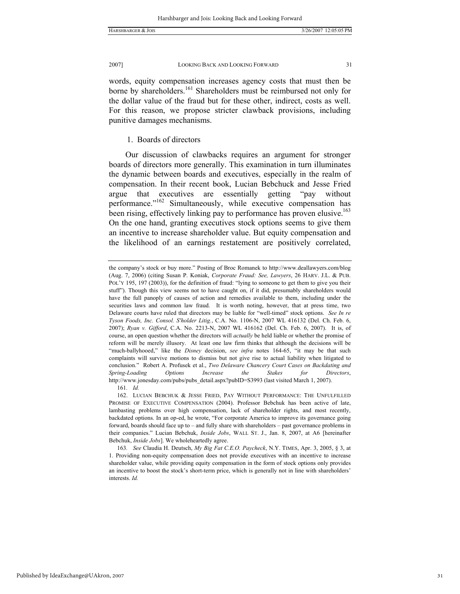words, equity compensation increases agency costs that must then be borne by shareholders.<sup>161</sup> Shareholders must be reimbursed not only for the dollar value of the fraud but for these other, indirect, costs as well. For this reason, we propose stricter clawback provisions, including punitive damages mechanisms.

# 1. Boards of directors

Our discussion of clawbacks requires an argument for stronger boards of directors more generally. This examination in turn illuminates the dynamic between boards and executives, especially in the realm of compensation. In their recent book, Lucian Bebchuck and Jesse Fried argue that executives are essentially getting "pay without performance."162 Simultaneously, while executive compensation has been rising, effectively linking pay to performance has proven elusive.<sup>163</sup> On the one hand, granting executives stock options seems to give them an incentive to increase shareholder value. But equity compensation and the likelihood of an earnings restatement are positively correlated,

161*. Id.*

the company's stock or buy more." Posting of Broc Romanek to http://www.deallawyers.com/blog (Aug. 7, 2006) (citing Susan P. Koniak, *Corporate Fraud: See, Lawyers*, 26 HARV. J.L. & PUB. POL'Y 195, 197 (2003)), for the definition of fraud: "lying to someone to get them to give you their stuff"). Though this view seems not to have caught on, if it did, presumably shareholders would have the full panoply of causes of action and remedies available to them, including under the securities laws and common law fraud. It is worth noting, however, that at press time, two Delaware courts have ruled that directors may be liable for "well-timed" stock options. *See In re Tyson Foods, Inc. Consol. S'holder Litig.*, C.A. No. 1106-N, 2007 WL 416132 (Del. Ch. Feb. 6, 2007); *Ryan v. Gifford*, C.A. No. 2213-N, 2007 WL 416162 (Del. Ch. Feb. 6, 2007). It is, of course, an open question whether the directors will *actually* be held liable or whether the promise of reform will be merely illusory. At least one law firm thinks that although the decisions will be "much-ballyhooed," like the *Disney* decision, *see infra* notes 164-65, "it may be that such complaints will survive motions to dismiss but not give rise to actual liability when litigated to conclusion." Robert A. Profusek et al., *Two Delaware Chancery Court Cases on Backdating and Spring-Loading Options Increase the Stakes for Directors*, http://www.jonesday.com/pubs/pubs\_detail.aspx?pubID=S3993 (last visited March 1, 2007).

 <sup>162.</sup> LUCIAN BEBCHUK & JESSE FRIED, PAY WITHOUT PERFORMANCE: THE UNFULFILLED PROMISE OF EXECUTIVE COMPENSATION (2004). Professor Bebchuk has been active of late, lambasting problems over high compensation, lack of shareholder rights, and most recently, backdated options. In an op-ed, he wrote, "For corporate America to improve its governance going forward, boards should face up to – and fully share with shareholders – past governance problems in their companies." Lucian Bebchuk, *Inside Jobs*, WALL ST. J., Jan. 8, 2007, at A6 [hereinafter Bebchuk, *Inside Jobs*]. We wholeheartedly agree.

<sup>163</sup>*. See* Claudia H. Deutsch, *My Big Fat C.E.O. Paycheck*, N.Y. TIMES, Apr. 3, 2005, § 3, at 1. Providing non-equity compensation does not provide executives with an incentive to increase shareholder value, while providing equity compensation in the form of stock options only provides an incentive to boost the stock's short-term price, which is generally not in line with shareholders' interests. *Id.*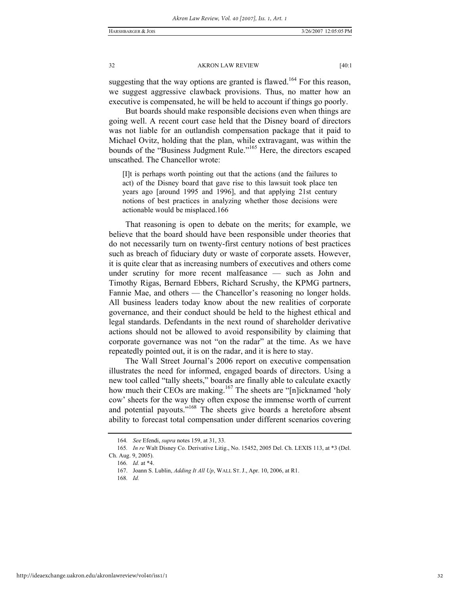suggesting that the way options are granted is flawed.<sup>164</sup> For this reason, we suggest aggressive clawback provisions. Thus, no matter how an executive is compensated, he will be held to account if things go poorly.

But boards should make responsible decisions even when things are going well. A recent court case held that the Disney board of directors was not liable for an outlandish compensation package that it paid to Michael Ovitz, holding that the plan, while extravagant, was within the bounds of the "Business Judgment Rule."<sup>165</sup> Here, the directors escaped unscathed. The Chancellor wrote:

[I]t is perhaps worth pointing out that the actions (and the failures to act) of the Disney board that gave rise to this lawsuit took place ten years ago [around 1995 and 1996], and that applying 21st century notions of best practices in analyzing whether those decisions were actionable would be misplaced.166

That reasoning is open to debate on the merits; for example, we believe that the board should have been responsible under theories that do not necessarily turn on twenty-first century notions of best practices such as breach of fiduciary duty or waste of corporate assets. However, it is quite clear that as increasing numbers of executives and others come under scrutiny for more recent malfeasance — such as John and Timothy Rigas, Bernard Ebbers, Richard Scrushy, the KPMG partners, Fannie Mae, and others — the Chancellor's reasoning no longer holds. All business leaders today know about the new realities of corporate governance, and their conduct should be held to the highest ethical and legal standards. Defendants in the next round of shareholder derivative actions should not be allowed to avoid responsibility by claiming that corporate governance was not "on the radar" at the time. As we have repeatedly pointed out, it is on the radar, and it is here to stay.

The Wall Street Journal's 2006 report on executive compensation illustrates the need for informed, engaged boards of directors. Using a new tool called "tally sheets," boards are finally able to calculate exactly how much their CEOs are making.<sup>167</sup> The sheets are "[n]icknamed 'holy cow' sheets for the way they often expose the immense worth of current and potential payouts."168 The sheets give boards a heretofore absent ability to forecast total compensation under different scenarios covering

<sup>164</sup>*. See* Efendi, *supra* notes 159, at 31, 33.

<sup>165</sup>*. In re* Walt Disney Co. Derivative Litig., No. 15452, 2005 Del. Ch. LEXIS 113, at \*3 (Del. Ch. Aug. 9, 2005).

<sup>166</sup>*. Id.* at \*4.

 <sup>167.</sup> Joann S. Lublin, *Adding It All Up*, WALL ST. J., Apr. 10, 2006, at R1.

<sup>168</sup>*. Id.*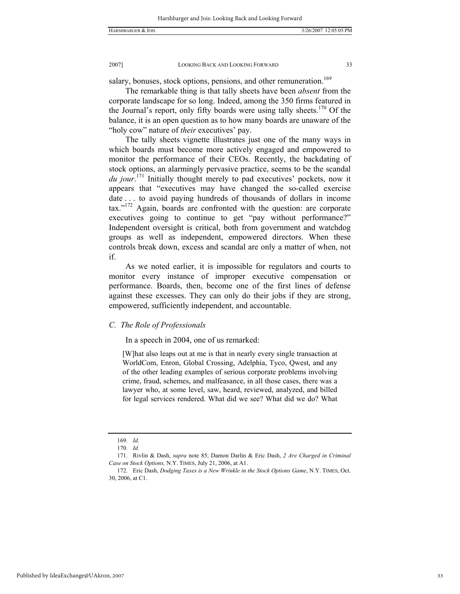salary, bonuses, stock options, pensions, and other remuneration.<sup>169</sup>

The remarkable thing is that tally sheets have been *absent* from the corporate landscape for so long. Indeed, among the 350 firms featured in the Journal's report, only fifty boards were using tally sheets.<sup>170</sup> Of the balance, it is an open question as to how many boards are unaware of the "holy cow" nature of *their* executives' pay.

The tally sheets vignette illustrates just one of the many ways in which boards must become more actively engaged and empowered to monitor the performance of their CEOs. Recently, the backdating of stock options, an alarmingly pervasive practice, seems to be the scandal *du jour*. 171 Initially thought merely to pad executives' pockets, now it appears that "executives may have changed the so-called exercise date . . . to avoid paying hundreds of thousands of dollars in income tax."172 Again, boards are confronted with the question: are corporate executives going to continue to get "pay without performance?" Independent oversight is critical, both from government and watchdog groups as well as independent, empowered directors. When these controls break down, excess and scandal are only a matter of when, not if.

As we noted earlier, it is impossible for regulators and courts to monitor every instance of improper executive compensation or performance. Boards, then, become one of the first lines of defense against these excesses. They can only do their jobs if they are strong, empowered, sufficiently independent, and accountable.

# *C. The Role of Professionals*

In a speech in 2004, one of us remarked:

[W]hat also leaps out at me is that in nearly every single transaction at WorldCom, Enron, Global Crossing, Adelphia, Tyco, Qwest, and any of the other leading examples of serious corporate problems involving crime, fraud, schemes, and malfeasance, in all those cases, there was a lawyer who, at some level, saw, heard, reviewed, analyzed, and billed for legal services rendered. What did we see? What did we do? What

<sup>169</sup>*. Id.*

<sup>170</sup>*. Id.*

 <sup>171.</sup> Rivlin & Dash, *supra* note 85; Damon Darlin & Eric Dash, *2 Are Charged in Criminal Case on Stock Options,* N.Y. TIMES, July 21, 2006, at A1.

 <sup>172.</sup> Eric Dash, *Dodging Taxes is a New Wrinkle in the Stock Options Game*, N.Y. TIMES, Oct. 30, 2006, at C1.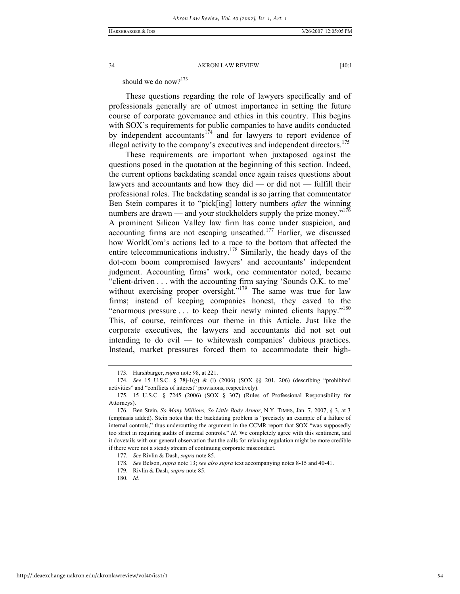should we do now?<sup>173</sup>

These questions regarding the role of lawyers specifically and of professionals generally are of utmost importance in setting the future course of corporate governance and ethics in this country. This begins with SOX's requirements for public companies to have audits conducted by independent accountants<sup> $174$ </sup> and for lawyers to report evidence of illegal activity to the company's executives and independent directors.<sup>175</sup>

These requirements are important when juxtaposed against the questions posed in the quotation at the beginning of this section. Indeed, the current options backdating scandal once again raises questions about lawyers and accountants and how they did — or did not — fulfill their professional roles. The backdating scandal is so jarring that commentator Ben Stein compares it to "pick[ing] lottery numbers *after* the winning numbers are drawn — and your stockholders supply the prize money." $176$ A prominent Silicon Valley law firm has come under suspicion, and accounting firms are not escaping unscathed.<sup>177</sup> Earlier, we discussed how WorldCom's actions led to a race to the bottom that affected the entire telecommunications industry.<sup>178</sup> Similarly, the heady days of the dot-com boom compromised lawyers' and accountants' independent judgment. Accounting firms' work, one commentator noted, became "client-driven . . . with the accounting firm saying 'Sounds O.K. to me' without exercising proper oversight."<sup>179</sup> The same was true for law firms; instead of keeping companies honest, they caved to the "enormous pressure . . . to keep their newly minted clients happy."<sup>180</sup> This, of course, reinforces our theme in this Article. Just like the corporate executives, the lawyers and accountants did not set out intending to do evil — to whitewash companies' dubious practices. Instead, market pressures forced them to accommodate their high-

 <sup>173.</sup> Harshbarger, *supra* note 98, at 221.

<sup>174</sup>*. See* 15 U.S.C. § 78j-1(g) & (l) (2006) (SOX §§ 201, 206) (describing "prohibited activities" and "conflicts of interest" provisions, respectively).

 <sup>175. 15</sup> U.S.C. § 7245 (2006) (SOX § 307) (Rules of Professional Responsibility for Attorneys).

 <sup>176.</sup> Ben Stein, *So Many Millions, So Little Body Armor*, N.Y. TIMES, Jan. 7, 2007, § 3, at 3 (emphasis added). Stein notes that the backdating problem is "precisely an example of a failure of internal controls," thus undercutting the argument in the CCMR report that SOX "was supposedly too strict in requiring audits of internal controls." *Id.* We completely agree with this sentiment, and it dovetails with our general observation that the calls for relaxing regulation might be more credible if there were not a steady stream of continuing corporate misconduct.

<sup>177</sup>*. See* Rivlin & Dash, *supra* note 85.

<sup>178</sup>*. See* Belson, *supra* note 13; *see also supra* text accompanying notes 8-15 and 40-41.

 <sup>179.</sup> Rivlin & Dash, *supra* note 85.

<sup>180</sup>*. Id.*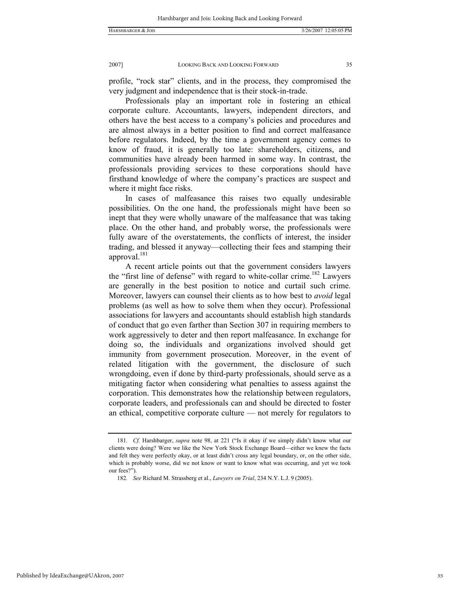profile, "rock star" clients, and in the process, they compromised the very judgment and independence that is their stock-in-trade.

Professionals play an important role in fostering an ethical corporate culture. Accountants, lawyers, independent directors, and others have the best access to a company's policies and procedures and are almost always in a better position to find and correct malfeasance before regulators. Indeed, by the time a government agency comes to know of fraud, it is generally too late: shareholders, citizens, and communities have already been harmed in some way. In contrast, the professionals providing services to these corporations should have firsthand knowledge of where the company's practices are suspect and where it might face risks.

In cases of malfeasance this raises two equally undesirable possibilities. On the one hand, the professionals might have been so inept that they were wholly unaware of the malfeasance that was taking place. On the other hand, and probably worse, the professionals were fully aware of the overstatements, the conflicts of interest, the insider trading, and blessed it anyway—collecting their fees and stamping their approval. $^{181}$ 

A recent article points out that the government considers lawyers the "first line of defense" with regard to white-collar crime.<sup>182</sup> Lawyers are generally in the best position to notice and curtail such crime. Moreover, lawyers can counsel their clients as to how best to *avoid* legal problems (as well as how to solve them when they occur). Professional associations for lawyers and accountants should establish high standards of conduct that go even farther than Section 307 in requiring members to work aggressively to deter and then report malfeasance. In exchange for doing so, the individuals and organizations involved should get immunity from government prosecution. Moreover, in the event of related litigation with the government, the disclosure of such wrongdoing, even if done by third-party professionals, should serve as a mitigating factor when considering what penalties to assess against the corporation. This demonstrates how the relationship between regulators, corporate leaders, and professionals can and should be directed to foster an ethical, competitive corporate culture — not merely for regulators to

<sup>181</sup>*. Cf.* Harshbarger, *supra* note 98, at 221 ("Is it okay if we simply didn't know what our clients were doing? Were we like the New York Stock Exchange Board—either we knew the facts and felt they were perfectly okay, or at least didn't cross any legal boundary, or, on the other side, which is probably worse, did we not know or want to know what was occurring, and yet we took our fees?").

<sup>182</sup>*. See* Richard M. Strassberg et al., *Lawyers on Trial*, 234 N.Y. L.J. 9 (2005).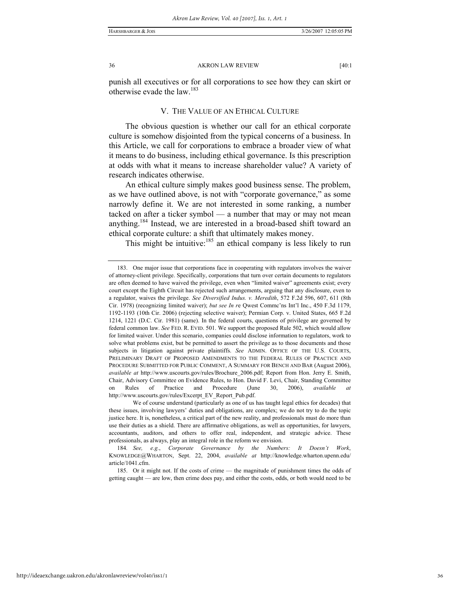punish all executives or for all corporations to see how they can skirt or otherwise evade the law.<sup>183</sup>

# V. THE VALUE OF AN ETHICAL CULTURE

The obvious question is whether our call for an ethical corporate culture is somehow disjointed from the typical concerns of a business. In this Article, we call for corporations to embrace a broader view of what it means to do business, including ethical governance. Is this prescription at odds with what it means to increase shareholder value? A variety of research indicates otherwise.

An ethical culture simply makes good business sense. The problem, as we have outlined above, is not with "corporate governance," as some narrowly define it. We are not interested in some ranking, a number tacked on after a ticker symbol — a number that may or may not mean anything.<sup>184</sup> Instead, we are interested in a broad-based shift toward an ethical corporate culture: a shift that ultimately makes money.

This might be intuitive:<sup>185</sup> an ethical company is less likely to run

 <sup>183.</sup> One major issue that corporations face in cooperating with regulators involves the waiver of attorney-client privilege. Specifically, corporations that turn over certain documents to regulators are often deemed to have waived the privilege, even when "limited waiver" agreements exist; every court except the Eighth Circuit has rejected such arrangements, arguing that any disclosure, even to a regulator, waives the privilege. *See Diversified Indus. v. Meredith*, 572 F.2d 596, 607, 611 (8th Cir. 1978) (recognizing limited waiver); *but see In r*e Qwest Commc'ns Int'l Inc., 450 F.3d 1179, 1192-1193 (10th Cir. 2006) (rejecting selective waiver); Permian Corp. v. United States, 665 F.2d 1214, 1221 (D.C. Cir. 1981) (same). In the federal courts, questions of privilege are governed by federal common law. *See* FED. R. EVID. 501. We support the proposed Rule 502, which would allow for limited waiver. Under this scenario, companies could disclose information to regulators, work to solve what problems exist, but be permitted to assert the privilege as to those documents and those subjects in litigation against private plaintiffs. *See* ADMIN. OFFICE OF THE U.S. COURTS, PRELIMINARY DRAFT OF PROPOSED AMENDMENTS TO THE FEDERAL RULES OF PRACTICE AND PROCEDURE SUBMITTED FOR PUBLIC COMMENT, A SUMMARY FOR BENCH AND BAR (August 2006), *available at* http://www.uscourts.gov/rules/Brochure\_2006.pdf; Report from Hon. Jerry E. Smith, Chair, Advisory Committee on Evidence Rules, to Hon. David F. Levi, Chair, Standing Committee on Rules of Practice and Procedure (June 30, 2006), *available* http://www.uscourts.gov/rules/Excerpt\_EV\_Report\_Pub.pdf.

We of course understand (particularly as one of us has taught legal ethics for decades) that these issues, involving lawyers' duties and obligations, are complex; we do not try to do the topic justice here. It is, nonetheless, a critical part of the new reality, and professionals must do more than use their duties as a shield. There are affirmative obligations, as well as opportunities, for lawyers, accountants, auditors, and others to offer real, independent, and strategic advice. These professionals, as always, play an integral role in the reform we envision.

<sup>184</sup>*. See, e.g.*, *Corporate Governance by the Numbers: It Doesn't Work*, KNOWLEDGE@WHARTON, Sept. 22, 2004, *available at* http://knowledge.wharton.upenn.edu/ article/1041.cfm.

 <sup>185.</sup> Or it might not. If the costs of crime — the magnitude of punishment times the odds of getting caught — are low, then crime does pay, and either the costs, odds, or both would need to be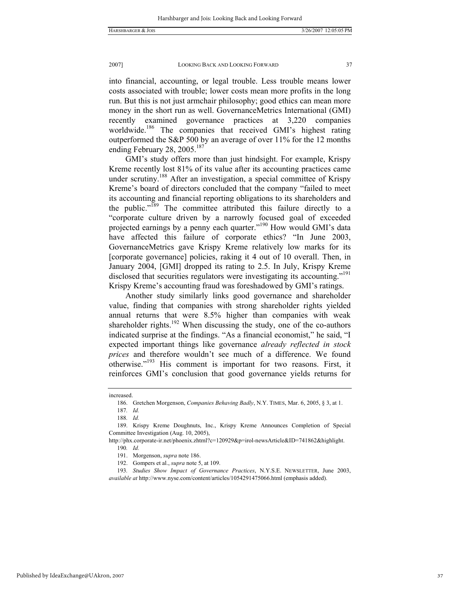into financial, accounting, or legal trouble. Less trouble means lower costs associated with trouble; lower costs mean more profits in the long run. But this is not just armchair philosophy; good ethics can mean more money in the short run as well. GovernanceMetrics International (GMI) recently examined governance practices at 3,220 companies worldwide.<sup>186</sup> The companies that received GMI's highest rating outperformed the S&P 500 by an average of over 11% for the 12 months ending February 28, 2005.<sup>187</sup>

GMI's study offers more than just hindsight. For example, Krispy Kreme recently lost 81% of its value after its accounting practices came under scrutiny.<sup>188</sup> After an investigation, a special committee of Krispy Kreme's board of directors concluded that the company "failed to meet its accounting and financial reporting obligations to its shareholders and the public."<sup>189</sup> The committee attributed this failure directly to a "corporate culture driven by a narrowly focused goal of exceeded projected earnings by a penny each quarter."<sup>190</sup> How would GMI's data have affected this failure of corporate ethics? "In June 2003, GovernanceMetrics gave Krispy Kreme relatively low marks for its [corporate governance] policies, raking it 4 out of 10 overall. Then, in January 2004, [GMI] dropped its rating to 2.5. In July, Krispy Kreme disclosed that securities regulators were investigating its accounting."<sup>191</sup> Krispy Kreme's accounting fraud was foreshadowed by GMI's ratings.

Another study similarly links good governance and shareholder value, finding that companies with strong shareholder rights yielded annual returns that were 8.5% higher than companies with weak shareholder rights.<sup>192</sup> When discussing the study, one of the co-authors indicated surprise at the findings. "As a financial economist," he said, "I expected important things like governance *already reflected in stock prices* and therefore wouldn't see much of a difference. We found otherwise."193 His comment is important for two reasons. First, it reinforces GMI's conclusion that good governance yields returns for

increased.

 <sup>186.</sup> Gretchen Morgenson, *Companies Behaving Badly*, N.Y. TIMES, Mar. 6, 2005, § 3, at 1.

<sup>187</sup>*. Id.*

<sup>188</sup>*. Id.*

 <sup>189.</sup> Krispy Kreme Doughnuts, Inc., Krispy Kreme Announces Completion of Special Committee Investigation (Aug. 10, 2005),

http://phx.corporate-ir.net/phoenix.zhtml?c=120929&p=irol-newsArticle&ID=741862&highlight. 190*. Id.*

 <sup>191.</sup> Morgenson, *supra* note 186.

 <sup>192.</sup> Gompers et al., *supra* note 5, at 109.

<sup>193</sup>*. Studies Show Impact of Governance Practices*, N.Y.S.E. NEWSLETTER, June 2003, *available at* http://www.nyse.com/content/articles/1054291475066.html (emphasis added).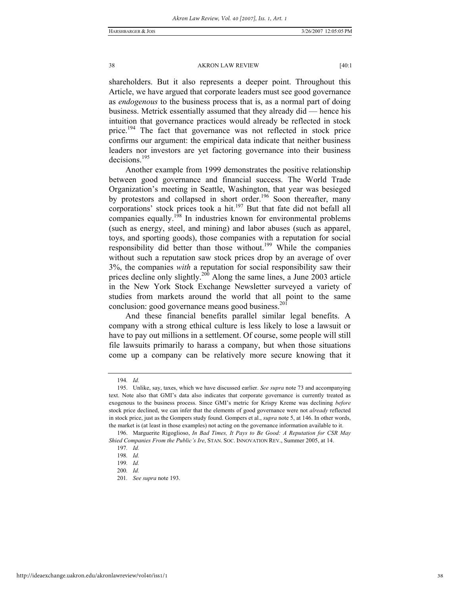shareholders. But it also represents a deeper point. Throughout this Article, we have argued that corporate leaders must see good governance as *endogenous* to the business process that is, as a normal part of doing business. Metrick essentially assumed that they already did — hence his intuition that governance practices would already be reflected in stock price.<sup>194</sup> The fact that governance was not reflected in stock price confirms our argument: the empirical data indicate that neither business leaders nor investors are yet factoring governance into their business decisions.195

Another example from 1999 demonstrates the positive relationship between good governance and financial success. The World Trade Organization's meeting in Seattle, Washington, that year was besieged by protestors and collapsed in short order.<sup>196</sup> Soon thereafter, many corporations' stock prices took a hit.<sup>197</sup> But that fate did not befall all companies equally.<sup>198</sup> In industries known for environmental problems (such as energy, steel, and mining) and labor abuses (such as apparel, toys, and sporting goods), those companies with a reputation for social responsibility did better than those without.<sup>199</sup> While the companies without such a reputation saw stock prices drop by an average of over 3%, the companies *with* a reputation for social responsibility saw their prices decline only slightly.<sup>200</sup> Along the same lines, a June 2003 article in the New York Stock Exchange Newsletter surveyed a variety of studies from markets around the world that all point to the same conclusion: good governance means good business.<sup>201</sup>

And these financial benefits parallel similar legal benefits. A company with a strong ethical culture is less likely to lose a lawsuit or have to pay out millions in a settlement. Of course, some people will still file lawsuits primarily to harass a company, but when those situations come up a company can be relatively more secure knowing that it

<sup>194</sup>*. Id.*

 <sup>195.</sup> Unlike, say, taxes, which we have discussed earlier. *See supra* note 73 and accompanying text. Note also that GMI's data also indicates that corporate governance is currently treated as exogenous to the business process. Since GMI's metric for Krispy Kreme was declining *before* stock price declined, we can infer that the elements of good governance were not *already* reflected in stock price, just as the Gompers study found. Gompers et al., *supra* note 5, at 146. In other words, the market is (at least in those examples) not acting on the governance information available to it.

 <sup>196.</sup> Marguerite Rigoglioso, *In Bad Times, It Pays to Be Good: A Reputation for CSR May Shied Companies From the Public's Ire*, STAN. SOC. INNOVATION REV., Summer 2005, at 14.

<sup>197</sup>*. Id.*

<sup>198</sup>*. Id.*

<sup>199</sup>*. Id.* 200*. Id.*

<sup>201</sup>*. See supra* note 193.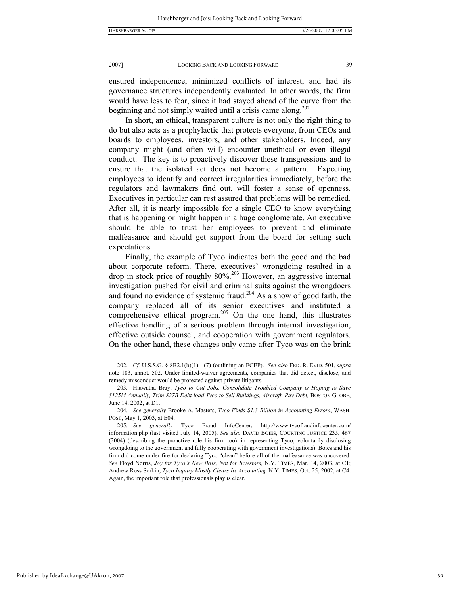ensured independence, minimized conflicts of interest, and had its governance structures independently evaluated. In other words, the firm would have less to fear, since it had stayed ahead of the curve from the

beginning and not simply waited until a crisis came along.<sup>202</sup> In short, an ethical, transparent culture is not only the right thing to do but also acts as a prophylactic that protects everyone, from CEOs and boards to employees, investors, and other stakeholders. Indeed, any company might (and often will) encounter unethical or even illegal conduct. The key is to proactively discover these transgressions and to ensure that the isolated act does not become a pattern. Expecting employees to identify and correct irregularities immediately, before the regulators and lawmakers find out, will foster a sense of openness. Executives in particular can rest assured that problems will be remedied. After all, it is nearly impossible for a single CEO to know everything that is happening or might happen in a huge conglomerate. An executive should be able to trust her employees to prevent and eliminate malfeasance and should get support from the board for setting such expectations.

Finally, the example of Tyco indicates both the good and the bad about corporate reform. There, executives' wrongdoing resulted in a drop in stock price of roughly 80%.<sup>203</sup> However, an aggressive internal investigation pushed for civil and criminal suits against the wrongdoers and found no evidence of systemic fraud.<sup>204</sup> As a show of good faith, the company replaced all of its senior executives and instituted a comprehensive ethical program.<sup>205</sup> On the one hand, this illustrates effective handling of a serious problem through internal investigation, effective outside counsel, and cooperation with government regulators. On the other hand, these changes only came after Tyco was on the brink

Published by IdeaExchange@UAkron, 2007

<sup>202</sup>*. Cf.* U.S.S.G. § 8B2.1(b)(1) - (7) (outlining an ECEP). *See also* FED. R. EVID. 501, *supra*  note 183, annot. 502. Under limited-waiver agreements, companies that did detect, disclose, and remedy misconduct would be protected against private litigants.

 <sup>203.</sup> Hiawatha Bray, *Tyco to Cut Jobs, Consolidate Troubled Company is Hoping to Save \$125M Annually, Trim \$27B Debt load Tyco to Sell Buildings, Aircraft, Pay Debt,* BOSTON GLOBE, June 14, 2002, at D1.

<sup>204</sup>*. See generally* Brooke A. Masters, *Tyco Finds \$1.3 Billion in Accounting Errors*, WASH. POST, May 1, 2003, at E04.

<sup>205</sup>*. See generally* Tyco Fraud InfoCenter, http://www.tycofraudinfocenter.com/ information.php (last visited July 14, 2005). *See also* DAVID BOIES, COURTING JUSTICE 235, 467 (2004) (describing the proactive role his firm took in representing Tyco, voluntarily disclosing wrongdoing to the government and fully cooperating with government investigations). Boies and his firm did come under fire for declaring Tyco "clean" before all of the malfeasance was uncovered. *See* Floyd Norris, *Joy for Tyco's New Boss, Not for Investors,* N.Y. TIMES, Mar. 14, 2003, at C1; Andrew Ross Sorkin, *Tyco Inquiry Mostly Clears Its Accounting,* N.Y. TIMES, Oct. 25, 2002, at C4. Again, the important role that professionals play is clear.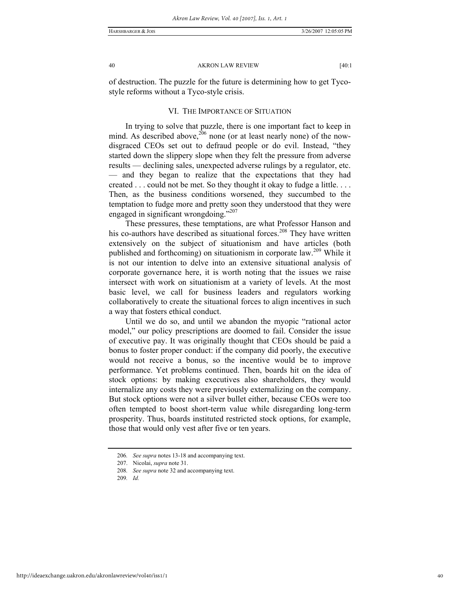of destruction. The puzzle for the future is determining how to get Tycostyle reforms without a Tyco-style crisis.

# VI. THE IMPORTANCE OF SITUATION

In trying to solve that puzzle, there is one important fact to keep in mind. As described above,  $206$  none (or at least nearly none) of the nowdisgraced CEOs set out to defraud people or do evil. Instead, "they started down the slippery slope when they felt the pressure from adverse results — declining sales, unexpected adverse rulings by a regulator, etc. — and they began to realize that the expectations that they had created . . . could not be met. So they thought it okay to fudge a little. . . . Then, as the business conditions worsened, they succumbed to the temptation to fudge more and pretty soon they understood that they were engaged in significant wrongdoing."<sup>207</sup>

These pressures, these temptations, are what Professor Hanson and his co-authors have described as situational forces.<sup>208</sup> They have written extensively on the subject of situationism and have articles (both published and forthcoming) on situationism in corporate law.<sup>209</sup> While it is not our intention to delve into an extensive situational analysis of corporate governance here, it is worth noting that the issues we raise intersect with work on situationism at a variety of levels. At the most basic level, we call for business leaders and regulators working collaboratively to create the situational forces to align incentives in such a way that fosters ethical conduct.

Until we do so, and until we abandon the myopic "rational actor model," our policy prescriptions are doomed to fail. Consider the issue of executive pay. It was originally thought that CEOs should be paid a bonus to foster proper conduct: if the company did poorly, the executive would not receive a bonus, so the incentive would be to improve performance. Yet problems continued. Then, boards hit on the idea of stock options: by making executives also shareholders, they would internalize any costs they were previously externalizing on the company. But stock options were not a silver bullet either, because CEOs were too often tempted to boost short-term value while disregarding long-term prosperity. Thus, boards instituted restricted stock options, for example, those that would only vest after five or ten years.

<sup>206</sup>*. See supra* notes 13-18 and accompanying text.

 <sup>207.</sup> Nicolai, *supra* note 31.

<sup>208</sup>*. See supra* note 32 and accompanying text.

<sup>209</sup>*. Id.*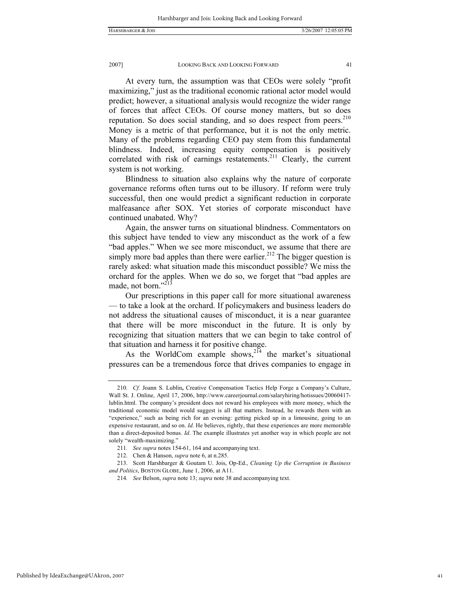At every turn, the assumption was that CEOs were solely "profit maximizing," just as the traditional economic rational actor model would predict; however, a situational analysis would recognize the wider range of forces that affect CEOs. Of course money matters, but so does reputation. So does social standing, and so does respect from peers.<sup>210</sup> Money is a metric of that performance, but it is not the only metric. Many of the problems regarding CEO pay stem from this fundamental blindness. Indeed, increasing equity compensation is positively correlated with risk of earnings restatements.<sup>211</sup> Clearly, the current system is not working.

Blindness to situation also explains why the nature of corporate governance reforms often turns out to be illusory. If reform were truly successful, then one would predict a significant reduction in corporate malfeasance after SOX. Yet stories of corporate misconduct have continued unabated. Why?

Again, the answer turns on situational blindness. Commentators on this subject have tended to view any misconduct as the work of a few "bad apples." When we see more misconduct, we assume that there are simply more bad apples than there were earlier.<sup>212</sup> The bigger question is rarely asked: what situation made this misconduct possible? We miss the orchard for the apples. When we do so, we forget that "bad apples are made, not born."<sup>213</sup>

Our prescriptions in this paper call for more situational awareness — to take a look at the orchard. If policymakers and business leaders do not address the situational causes of misconduct, it is a near guarantee that there will be more misconduct in the future. It is only by recognizing that situation matters that we can begin to take control of that situation and harness it for positive change.

As the WorldCom example shows,  $2^{14}$  the market's situational pressures can be a tremendous force that drives companies to engage in

<sup>210</sup>*. Cf.* Joann S. Lublin**,** Creative Compensation Tactics Help Forge a Company's Culture, Wall St. J. Online, April 17, 2006, http://www.careerjournal.com/salaryhiring/hotissues/20060417 lublin.html. The company's president does not reward his employees with more money, which the traditional economic model would suggest is all that matters. Instead, he rewards them with an "experience," such as being rich for an evening: getting picked up in a limousine, going to an expensive restaurant, and so on. *Id.* He believes, rightly, that these experiences are more memorable than a direct-deposited bonus. *Id*. The example illustrates yet another way in which people are not solely "wealth-maximizing."

<sup>211</sup>*. See supra* notes 154-61, 164 and accompanying text.

 <sup>212.</sup> Chen & Hanson, *supra* note 6, at n.285.

 <sup>213.</sup> Scott Harshbarger & Goutam U. Jois, Op-Ed., *Cleaning Up the Corruption in Business and Politics*, BOSTON GLOBE, June 1, 2006, at A11.

<sup>214</sup>*. See* Belson, *supra* note 13; *supra* note 38 and accompanying text.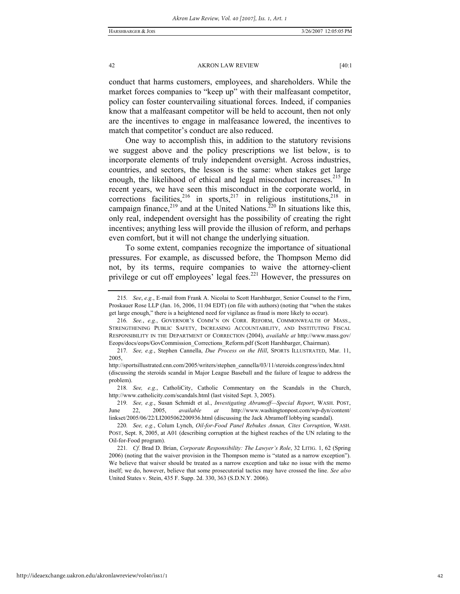conduct that harms customers, employees, and shareholders. While the market forces companies to "keep up" with their malfeasant competitor, policy can foster countervailing situational forces. Indeed, if companies know that a malfeasant competitor will be held to account, then not only are the incentives to engage in malfeasance lowered, the incentives to match that competitor's conduct are also reduced.

One way to accomplish this, in addition to the statutory revisions we suggest above and the policy prescriptions we list below, is to incorporate elements of truly independent oversight. Across industries, countries, and sectors, the lesson is the same: when stakes get large enough, the likelihood of ethical and legal misconduct increases.<sup>215</sup> In recent years, we have seen this misconduct in the corporate world, in corrections facilities,  $2^{16}$  in sports,  $2^{17}$  in religious institutions,  $2^{18}$  in campaign finance,<sup>219</sup> and at the United Nations.<sup>220</sup> In situations like this, only real, independent oversight has the possibility of creating the right incentives; anything less will provide the illusion of reform, and perhaps even comfort, but it will not change the underlying situation.

To some extent, companies recognize the importance of situational pressures. For example, as discussed before, the Thompson Memo did not, by its terms, require companies to waive the attorney-client privilege or cut off employees' legal fees.<sup>221</sup> However, the pressures on

http://ideaexchange.uakron.edu/akronlawreview/vol40/iss1/1

<sup>215</sup>*. See*, *e.g.*, E-mail from Frank A. Nicolai to Scott Harshbarger, Senior Counsel to the Firm, Proskauer Rose LLP (Jan. 16, 2006, 11:04 EDT) (on file with authors) (noting that "when the stakes get large enough," there is a heightened need for vigilance as fraud is more likely to occur).

<sup>216</sup>*. See.*, *e.g.*, GOVERNOR'S COMM'N ON CORR. REFORM, COMMONWEALTH OF MASS., STRENGTHENING PUBLIC SAFETY, INCREASING ACCOUNTABILITY, AND INSTITUTING FISCAL RESPONSIBILITY IN THE DEPARTMENT OF CORRECTION (2004), *available at* http://www.mass.gov/ Eeops/docs/eops/GovCommission\_Corrections\_Reform.pdf (Scott Harshbarger, Chairman).

<sup>217</sup>*. See, e.g.*, Stephen Cannella, *Due Process on the Hill*, SPORTS ILLUSTRATED, Mar. 11, 2005,

http://sportsillustrated.cnn.com/2005/writers/stephen\_cannella/03/11/steroids.congress/index.html (discussing the steroids scandal in Major League Baseball and the failure of league to address the problem).

<sup>218</sup>*. See, e.g.*, CatholiCity, Catholic Commentary on the Scandals in the Church, http://www.catholicity.com/scandals.html (last visited Sept. 3, 2005).

<sup>219</sup>*. See, e.g.*, Susan Schmidt et al., *Investigating Abramoff—Special Report*, WASH. POST, June 22, 2005, *available at* http://www.washingtonpost.com/wp-dyn/content/ linkset/2005/06/22/LI2005062200936.html (discussing the Jack Abramoff lobbying scandal).

<sup>220</sup>*. See, e.g.*, Colum Lynch, *Oil-for-Food Panel Rebukes Annan, Cites Corruption*, WASH. POST, Sept. 8, 2005, at A01 (describing corruption at the highest reaches of the UN relating to the Oil-for-Food program).

<sup>221</sup>*. Cf.* Brad D. Brian, *Corporate Responsibility: The Lawyer's Role*, 32 LITIG. 1, 62 (Spring 2006) (noting that the waiver provision in the Thompson memo is "stated as a narrow exception"). We believe that waiver should be treated as a narrow exception and take no issue with the memo itself; we do, however, believe that some prosecutorial tactics may have crossed the line. *See also* United States v. Stein, 435 F. Supp. 2d. 330, 363 (S.D.N.Y. 2006).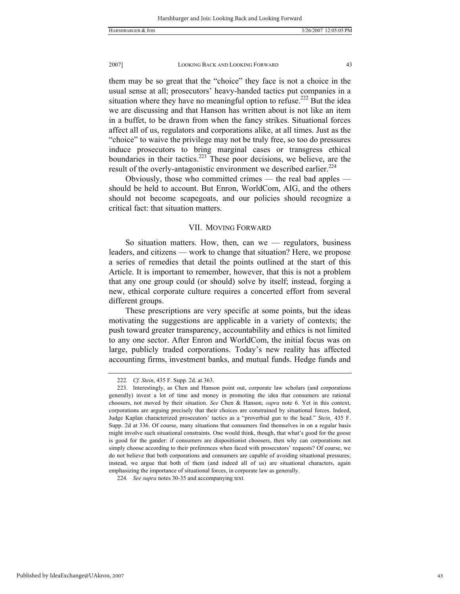them may be so great that the "choice" they face is not a choice in the usual sense at all; prosecutors' heavy-handed tactics put companies in a situation where they have no meaningful option to refuse.<sup>222</sup> But the idea we are discussing and that Hanson has written about is not like an item in a buffet, to be drawn from when the fancy strikes. Situational forces affect all of us, regulators and corporations alike, at all times. Just as the "choice" to waive the privilege may not be truly free, so too do pressures induce prosecutors to bring marginal cases or transgress ethical boundaries in their tactics. $2^{23}$  These poor decisions, we believe, are the result of the overly-antagonistic environment we described earlier.<sup>224</sup>

Obviously, those who committed crimes — the real bad apples should be held to account. But Enron, WorldCom, AIG, and the others should not become scapegoats, and our policies should recognize a critical fact: that situation matters.

### VII. MOVING FORWARD

So situation matters. How, then, can we  $-$  regulators, business leaders, and citizens — work to change that situation? Here, we propose a series of remedies that detail the points outlined at the start of this Article. It is important to remember, however, that this is not a problem that any one group could (or should) solve by itself; instead, forging a new, ethical corporate culture requires a concerted effort from several different groups.

These prescriptions are very specific at some points, but the ideas motivating the suggestions are applicable in a variety of contexts; the push toward greater transparency, accountability and ethics is not limited to any one sector. After Enron and WorldCom, the initial focus was on large, publicly traded corporations. Today's new reality has affected accounting firms, investment banks, and mutual funds. Hedge funds and

<sup>222</sup>*. Cf. Stein*, 435 F. Supp. 2d. at 363.

 <sup>223.</sup> Interestingly, as Chen and Hanson point out, corporate law scholars (and corporations generally) invest a lot of time and money in promoting the idea that consumers are rational choosers, not moved by their situation. *See* Chen & Hanson, *supra* note 6. Yet in this context, corporations are arguing precisely that their choices are constrained by situational forces. Indeed, Judge Kaplan characterized prosecutors' tactics as a "proverbial gun to the head." *Stein¸* 435 F. Supp. 2d at 336. Of course, many situations that consumers find themselves in on a regular basis might involve such situational constraints. One would think, though, that what's good for the goose is good for the gander: if consumers are dispositionist choosers, then why can corporations not simply choose according to their preferences when faced with prosecutors' requests? Of course, we do not believe that both corporations and consumers are capable of avoiding situational pressures; instead, we argue that both of them (and indeed all of us) are situational characters, again emphasizing the importance of situational forces, in corporate law as generally.

<sup>224</sup>*. See supra* notes 30-35 and accompanying text.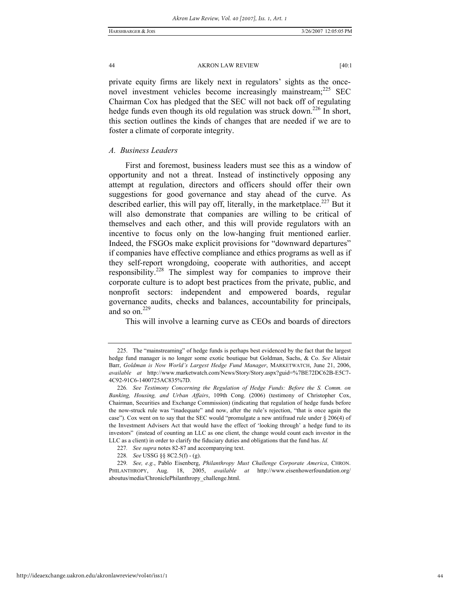private equity firms are likely next in regulators' sights as the oncenovel investment vehicles become increasingly mainstream;<sup>225</sup> SEC Chairman Cox has pledged that the SEC will not back off of regulating hedge funds even though its old regulation was struck down.<sup>226</sup> In short, this section outlines the kinds of changes that are needed if we are to foster a climate of corporate integrity.

### *A. Business Leaders*

First and foremost, business leaders must see this as a window of opportunity and not a threat. Instead of instinctively opposing any attempt at regulation, directors and officers should offer their own suggestions for good governance and stay ahead of the curve. As described earlier, this will pay off, literally, in the marketplace.<sup>227</sup> But it will also demonstrate that companies are willing to be critical of themselves and each other, and this will provide regulators with an incentive to focus only on the low-hanging fruit mentioned earlier. Indeed, the FSGOs make explicit provisions for "downward departures" if companies have effective compliance and ethics programs as well as if they self-report wrongdoing, cooperate with authorities, and accept responsibility.228 The simplest way for companies to improve their corporate culture is to adopt best practices from the private, public, and nonprofit sectors: independent and empowered boards, regular governance audits, checks and balances, accountability for principals, and so on.<sup>229</sup>

This will involve a learning curve as CEOs and boards of directors

 <sup>225.</sup> The "mainstreaming" of hedge funds is perhaps best evidenced by the fact that the largest hedge fund manager is no longer some exotic boutique but Goldman, Sachs, & Co. *See* Alistair Barr, *Goldman is Now World's Largest Hedge Fund Manager*, MARKETWATCH, June 21, 2006, *available at* http://www.marketwatch.com/News/Story/Story.aspx?guid=%7BE72DC62B-E5C7- 4C92-91C6-1400725AC835%7D.

<sup>226</sup>*. See Testimony Concerning the Regulation of Hedge Funds: Before the S. Comm. on Banking, Housing, and Urban Affairs*, 109th Cong. (2006) (testimony of Christopher Cox, Chairman, Securities and Exchange Commission) (indicating that regulation of hedge funds before the now-struck rule was "inadequate" and now, after the rule's rejection, "that is once again the case"). Cox went on to say that the SEC would "promulgate a new antifraud rule under § 206(4) of the Investment Advisers Act that would have the effect of 'looking through' a hedge fund to its investors" (instead of counting an LLC as one client, the change would count each investor in the LLC as a client) in order to clarify the fiduciary duties and obligations that the fund has. *Id.*

<sup>227</sup>*. See supra* notes 82-87 and accompanying text.

<sup>228</sup>*. See* USSG §§ 8C2.5(f) - (g).

<sup>229</sup>*. See, e.g.*, Pablo Eisenberg, *Philanthropy Must Challenge Corporate America*, CHRON. PHILANTHROPY, Aug. 18, 2005, *available at* http://www.eisenhowerfoundation.org/ aboutus/media/ChroniclePhilanthropy\_challenge.html.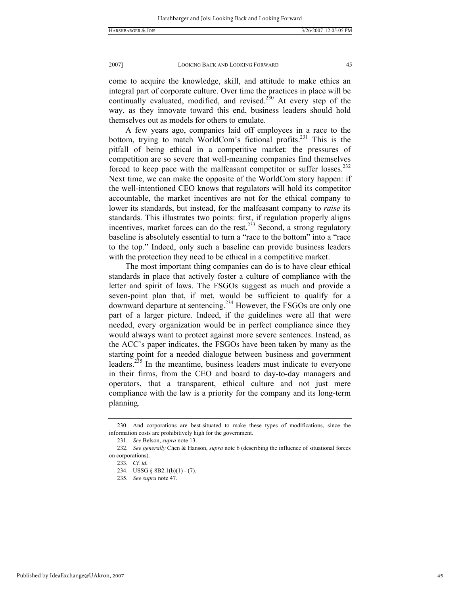come to acquire the knowledge, skill, and attitude to make ethics an integral part of corporate culture. Over time the practices in place will be continually evaluated, modified, and revised.<sup>230</sup> At every step of the way, as they innovate toward this end, business leaders should hold themselves out as models for others to emulate.

A few years ago, companies laid off employees in a race to the bottom, trying to match WorldCom's fictional profits.<sup>231</sup> This is the pitfall of being ethical in a competitive market: the pressures of competition are so severe that well-meaning companies find themselves forced to keep pace with the malfeasant competitor or suffer losses.<sup>232</sup> Next time, we can make the opposite of the WorldCom story happen: if the well-intentioned CEO knows that regulators will hold its competitor accountable, the market incentives are not for the ethical company to lower its standards, but instead, for the malfeasant company to *raise* its standards. This illustrates two points: first, if regulation properly aligns incentives, market forces can do the rest.<sup>233</sup> Second, a strong regulatory baseline is absolutely essential to turn a "race to the bottom" into a "race to the top." Indeed, only such a baseline can provide business leaders with the protection they need to be ethical in a competitive market.

The most important thing companies can do is to have clear ethical standards in place that actively foster a culture of compliance with the letter and spirit of laws. The FSGOs suggest as much and provide a seven-point plan that, if met, would be sufficient to qualify for a downward departure at sentencing.<sup>234</sup> However, the FSGOs are only one part of a larger picture. Indeed, if the guidelines were all that were needed, every organization would be in perfect compliance since they would always want to protect against more severe sentences. Instead, as the ACC's paper indicates, the FSGOs have been taken by many as the starting point for a needed dialogue between business and government leaders.235 In the meantime, business leaders must indicate to everyone in their firms, from the CEO and board to day-to-day managers and operators, that a transparent, ethical culture and not just mere compliance with the law is a priority for the company and its long-term planning.

 <sup>230.</sup> And corporations are best-situated to make these types of modifications, since the information costs are prohibitively high for the government.

<sup>231</sup>*. See* Belson, *supra* note 13.

<sup>232</sup>*. See generally* Chen & Hanson, *supra* note 6 (describing the influence of situational forces on corporations).

<sup>233</sup>*. Cf. id.*

 <sup>234.</sup> USSG § 8B2.1(b)(1) - (7).

<sup>235</sup>*. See supra* note 47.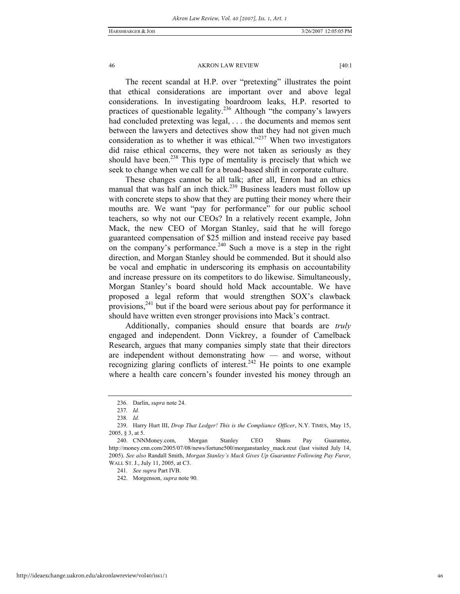The recent scandal at H.P. over "pretexting" illustrates the point that ethical considerations are important over and above legal considerations. In investigating boardroom leaks, H.P. resorted to practices of questionable legality.236 Although "the company's lawyers had concluded pretexting was legal, ... the documents and memos sent between the lawyers and detectives show that they had not given much consideration as to whether it was ethical. $237$  When two investigators did raise ethical concerns, they were not taken as seriously as they should have been.<sup>238</sup> This type of mentality is precisely that which we seek to change when we call for a broad-based shift in corporate culture.

These changes cannot be all talk; after all, Enron had an ethics manual that was half an inch thick.<sup>239</sup> Business leaders must follow up with concrete steps to show that they are putting their money where their mouths are. We want "pay for performance" for our public school teachers, so why not our CEOs? In a relatively recent example, John Mack, the new CEO of Morgan Stanley, said that he will forego guaranteed compensation of \$25 million and instead receive pay based on the company's performance.<sup>240</sup> Such a move is a step in the right direction, and Morgan Stanley should be commended. But it should also be vocal and emphatic in underscoring its emphasis on accountability and increase pressure on its competitors to do likewise. Simultaneously, Morgan Stanley's board should hold Mack accountable. We have proposed a legal reform that would strengthen SOX's clawback provisions, $^{241}$  but if the board were serious about pay for performance it should have written even stronger provisions into Mack's contract.

Additionally, companies should ensure that boards are *truly* engaged and independent. Donn Vickrey, a founder of Camelback Research, argues that many companies simply state that their directors are independent without demonstrating how — and worse, without recognizing glaring conflicts of interest.<sup>242</sup> He points to one example where a health care concern's founder invested his money through an

242. Morgenson, *supra* note 90.

 <sup>236.</sup> Darlin, *supra* note 24.

<sup>237</sup>*. Id.*

<sup>238</sup>*. Id.*

 <sup>239.</sup> Harry Hurt III, *Drop That Ledger! This is the Compliance Officer*, N.Y. TIMES, May 15, 2005, § 3, at 5.

 <sup>240.</sup> CNNMoney.com, Morgan Stanley CEO Shuns Pay Guarantee, http://money.cnn.com/2005/07/08/news/fortune500/morganstanley\_mack.reut (last visited July 14, 2005). *See also* Randall Smith, *Morgan Stanley's Mack Gives Up Guarantee Following Pay Furor*, WALL ST. J., July 11, 2005, at C3.

<sup>241</sup>*. See supra* Part IVB.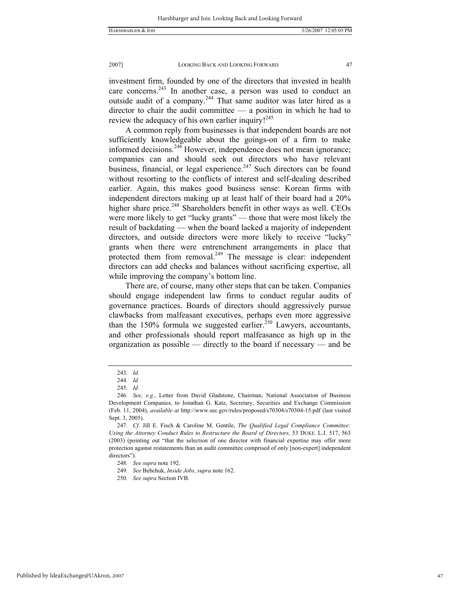investment firm, founded by one of the directors that invested in health care concerns.<sup>243</sup> In another case, a person was used to conduct an outside audit of a company.<sup>244</sup> That same auditor was later hired as a director to chair the audit committee — a position in which he had to review the adequacy of his own earlier inquiry!<sup>245</sup>

A common reply from businesses is that independent boards are not sufficiently knowledgeable about the goings-on of a firm to make informed decisions.<sup>246</sup> However, independence does not mean ignorance; companies can and should seek out directors who have relevant business, financial, or legal experience.<sup>247</sup> Such directors can be found without resorting to the conflicts of interest and self-dealing described earlier. Again, this makes good business sense: Korean firms with independent directors making up at least half of their board had a 20% higher share price.<sup>248</sup> Shareholders benefit in other ways as well. CEOs were more likely to get "lucky grants" — those that were most likely the result of backdating — when the board lacked a majority of independent directors, and outside directors were more likely to receive "lucky" grants when there were entrenchment arrangements in place that protected them from removal.<sup>249</sup> The message is clear: independent directors can add checks and balances without sacrificing expertise, all while improving the company's bottom line.

There are, of course, many other steps that can be taken. Companies should engage independent law firms to conduct regular audits of governance practices. Boards of directors should aggressively pursue clawbacks from malfeasant executives, perhaps even more aggressive than the 150% formula we suggested earlier.<sup>250</sup> Lawyers, accountants, and other professionals should report malfeasance as high up in the organization as possible — directly to the board if necessary — and be

250*. See supra* Section IVB.

<sup>243</sup>*. Id.*

<sup>244</sup>*. Id.*

<sup>245</sup>*. Id.*

<sup>246</sup>*. See, e.g.*, Letter from David Gladstone, Chairman, National Association of Business Development Companies, to Jonathan G. Katz, Secretary, Securities and Exchange Commission (Feb. 11, 2004), *available at* http://www.sec.gov/rules/proposed/s70304/s70304-15.pdf (last visited Sept. 3, 2005).

<sup>247</sup>*. Cf.* Jill E. Fisch & Caroline M. Gentile, *The Qualified Legal Compliance Committee: Using the Attorney Conduct Rules to Restructure the Board of Directors*, 53 DUKE. L.J. 517, 563 (2003) (pointing out "that the selection of one director with financial expertise may offer more protection against restatements than an audit committee comprised of only [non-expert] independent directors").

<sup>248</sup>*. See supra* note 192.

<sup>249</sup>*. See* Bebchuk, *Inside Jobs*, *supra* note 162.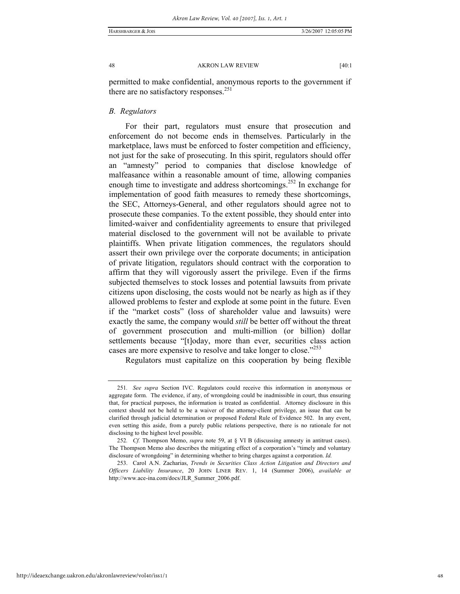permitted to make confidential, anonymous reports to the government if there are no satisfactory responses.<sup>251</sup>

# *B. Regulators*

For their part, regulators must ensure that prosecution and enforcement do not become ends in themselves. Particularly in the marketplace, laws must be enforced to foster competition and efficiency, not just for the sake of prosecuting. In this spirit, regulators should offer an "amnesty" period to companies that disclose knowledge of malfeasance within a reasonable amount of time, allowing companies enough time to investigate and address shortcomings.<sup>252</sup> In exchange for implementation of good faith measures to remedy these shortcomings, the SEC, Attorneys-General, and other regulators should agree not to prosecute these companies. To the extent possible, they should enter into limited-waiver and confidentiality agreements to ensure that privileged material disclosed to the government will not be available to private plaintiffs. When private litigation commences, the regulators should assert their own privilege over the corporate documents; in anticipation of private litigation, regulators should contract with the corporation to affirm that they will vigorously assert the privilege. Even if the firms subjected themselves to stock losses and potential lawsuits from private citizens upon disclosing, the costs would not be nearly as high as if they allowed problems to fester and explode at some point in the future*.* Even if the "market costs" (loss of shareholder value and lawsuits) were exactly the same, the company would *still* be better off without the threat of government prosecution and multi-million (or billion) dollar settlements because "[t]oday, more than ever, securities class action cases are more expensive to resolve and take longer to close."<sup>253</sup>

Regulators must capitalize on this cooperation by being flexible

<sup>251</sup>*. See supra* Section IVC. Regulators could receive this information in anonymous or aggregate form. The evidence, if any, of wrongdoing could be inadmissible in court, thus ensuring that, for practical purposes, the information is treated as confidential. Attorney disclosure in this context should not be held to be a waiver of the attorney-client privilege, an issue that can be clarified through judicial determination or proposed Federal Rule of Evidence 502. In any event, even setting this aside, from a purely public relations perspective, there is no rationale for not disclosing to the highest level possible.

<sup>252</sup>*. Cf.* Thompson Memo, *supra* note 59, at § VI B (discussing amnesty in antitrust cases). The Thompson Memo also describes the mitigating effect of a corporation's "timely and voluntary disclosure of wrongdoing" in determining whether to bring charges against a corporation. *Id.* 

 <sup>253.</sup> Carol A.N. Zacharias, *Trends in Securities Class Action Litigation and Directors and Officers Liability Insurance*, 20 JOHN LINER REV. 1, 14 (Summer 2006), *available at* http://www.ace-ina.com/docs/JLR\_Summer\_2006.pdf.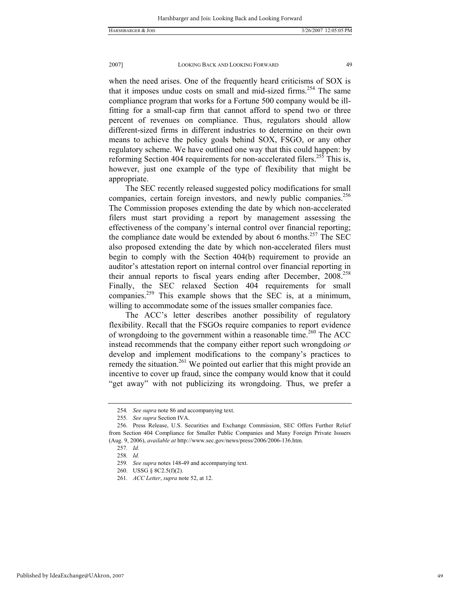when the need arises. One of the frequently heard criticisms of SOX is that it imposes undue costs on small and mid-sized firms.<sup>254</sup> The same compliance program that works for a Fortune 500 company would be illfitting for a small-cap firm that cannot afford to spend two or three percent of revenues on compliance. Thus, regulators should allow different-sized firms in different industries to determine on their own means to achieve the policy goals behind SOX, FSGO, or any other regulatory scheme. We have outlined one way that this could happen: by reforming Section 404 requirements for non-accelerated filers.<sup>255</sup> This is, however, just one example of the type of flexibility that might be appropriate.

The SEC recently released suggested policy modifications for small companies, certain foreign investors, and newly public companies.<sup>256</sup> The Commission proposes extending the date by which non-accelerated filers must start providing a report by management assessing the effectiveness of the company's internal control over financial reporting; the compliance date would be extended by about 6 months.<sup>257</sup> The SEC also proposed extending the date by which non-accelerated filers must begin to comply with the Section 404(b) requirement to provide an auditor's attestation report on internal control over financial reporting in their annual reports to fiscal years ending after December, 2008.<sup>258</sup> Finally, the SEC relaxed Section 404 requirements for small companies.<sup>259</sup> This example shows that the SEC is, at a minimum, willing to accommodate some of the issues smaller companies face.

The ACC's letter describes another possibility of regulatory flexibility. Recall that the FSGOs require companies to report evidence of wrongdoing to the government within a reasonable time.<sup>260</sup> The ACC instead recommends that the company either report such wrongdoing *or* develop and implement modifications to the company's practices to remedy the situation.<sup>261</sup> We pointed out earlier that this might provide an incentive to cover up fraud, since the company would know that it could "get away" with not publicizing its wrongdoing. Thus, we prefer a

<sup>254</sup>*. See supra* note 86 and accompanying text.

<sup>255</sup>*. See supra* Section IVA.

 <sup>256.</sup> Press Release, U.S. Securities and Exchange Commission, SEC Offers Further Relief from Section 404 Compliance for Smaller Public Companies and Many Foreign Private Issuers (Aug. 9, 2006), *available at* http://www.sec.gov/news/press/2006/2006-136.htm.

<sup>257</sup>*. Id.*

<sup>258</sup>*. Id.*

<sup>259</sup>*. See supra* notes 148-49 and accompanying text.

 <sup>260.</sup> USSG § 8C2.5(f)(2).

<sup>261</sup>*. ACC Letter*, *supra* note 52, at 12.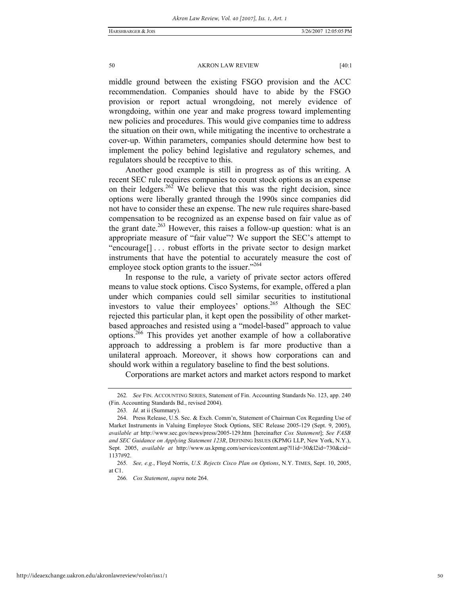middle ground between the existing FSGO provision and the ACC recommendation. Companies should have to abide by the FSGO provision or report actual wrongdoing, not merely evidence of wrongdoing, within one year and make progress toward implementing new policies and procedures. This would give companies time to address the situation on their own, while mitigating the incentive to orchestrate a cover-up. Within parameters, companies should determine how best to implement the policy behind legislative and regulatory schemes, and regulators should be receptive to this.

Another good example is still in progress as of this writing. A recent SEC rule requires companies to count stock options as an expense on their ledgers.<sup>262</sup> We believe that this was the right decision, since options were liberally granted through the 1990s since companies did not have to consider these an expense. The new rule requires share-based compensation to be recognized as an expense based on fair value as of the grant date.<sup>263</sup> However, this raises a follow-up question: what is an appropriate measure of "fair value"? We support the SEC's attempt to "encourage[] . . . robust efforts in the private sector to design market instruments that have the potential to accurately measure the cost of employee stock option grants to the issuer."<sup>264</sup>

In response to the rule, a variety of private sector actors offered means to value stock options. Cisco Systems, for example, offered a plan under which companies could sell similar securities to institutional investors to value their employees' options.<sup>265</sup> Although the SEC rejected this particular plan, it kept open the possibility of other marketbased approaches and resisted using a "model-based" approach to value options.266 This provides yet another example of how a collaborative approach to addressing a problem is far more productive than a unilateral approach. Moreover, it shows how corporations can and should work within a regulatory baseline to find the best solutions.

Corporations are market actors and market actors respond to market

<sup>262</sup>*. See* FIN. ACCOUNTING SERIES, Statement of Fin. Accounting Standards No. 123, app. 240 (Fin. Accounting Standards Bd., revised 2004).

<sup>263</sup>*. Id.* at ii (Summary).

 <sup>264.</sup> Press Release, U.S. Sec. & Exch. Comm'n, Statement of Chairman Cox Regarding Use of Market Instruments in Valuing Employee Stock Options, SEC Release 2005-129 (Sept. 9, 2005), *available at* http://www.sec.gov/news/press/2005-129.htm [hereinafter *Cox Statement*]; *See FASB and SEC Guidance on Applying Statement 123R*, DEFINING ISSUES (KPMG LLP, New York, N.Y.), Sept. 2005, *available at* http://www.us.kpmg.com/services/content.asp?l1id=30&l2id=730&cid= 1137#92.

<sup>265</sup>*. See, e.g.*, Floyd Norris, *U.S. Rejects Cisco Plan on Options*, N.Y. TIMES, Sept. 10, 2005, at C1.

<sup>266</sup>*. Cox Statement*, *supra* note 264.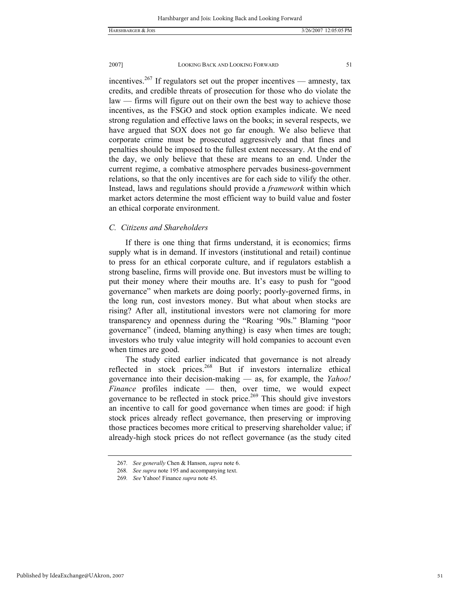incentives.<sup>267</sup> If regulators set out the proper incentives — amnesty, tax credits, and credible threats of prosecution for those who do violate the law — firms will figure out on their own the best way to achieve those incentives, as the FSGO and stock option examples indicate. We need strong regulation and effective laws on the books; in several respects, we have argued that SOX does not go far enough. We also believe that corporate crime must be prosecuted aggressively and that fines and penalties should be imposed to the fullest extent necessary. At the end of the day, we only believe that these are means to an end. Under the current regime, a combative atmosphere pervades business-government relations, so that the only incentives are for each side to vilify the other. Instead, laws and regulations should provide a *framework* within which market actors determine the most efficient way to build value and foster an ethical corporate environment.

# *C. Citizens and Shareholders*

If there is one thing that firms understand, it is economics; firms supply what is in demand. If investors (institutional and retail) continue to press for an ethical corporate culture, and if regulators establish a strong baseline, firms will provide one. But investors must be willing to put their money where their mouths are. It's easy to push for "good governance" when markets are doing poorly; poorly-governed firms, in the long run, cost investors money. But what about when stocks are rising? After all, institutional investors were not clamoring for more transparency and openness during the "Roaring '90s." Blaming "poor governance" (indeed, blaming anything) is easy when times are tough; investors who truly value integrity will hold companies to account even when times are good.

The study cited earlier indicated that governance is not already reflected in stock prices.<sup>268</sup> But if investors internalize ethical governance into their decision-making — as, for example, the *Yahoo! Finance* profiles indicate — then, over time, we would expect governance to be reflected in stock price.<sup>269</sup> This should give investors an incentive to call for good governance when times are good: if high stock prices already reflect governance, then preserving or improving those practices becomes more critical to preserving shareholder value; if already-high stock prices do not reflect governance (as the study cited

<sup>267</sup>*. See generally* Chen & Hanson, *supra* note 6.

<sup>268</sup>*. See supra* note 195 and accompanying text.

<sup>269</sup>*. See* Yahoo! Finance *supra* note 45.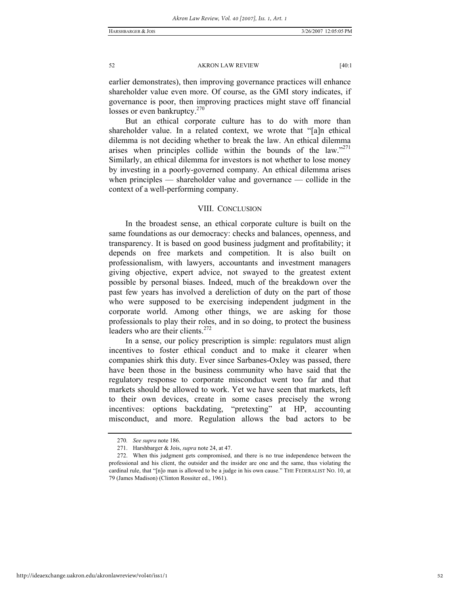earlier demonstrates), then improving governance practices will enhance shareholder value even more. Of course, as the GMI story indicates, if governance is poor, then improving practices might stave off financial losses or even bankruptcy.<sup>270</sup>

But an ethical corporate culture has to do with more than shareholder value. In a related context, we wrote that "[a]n ethical dilemma is not deciding whether to break the law. An ethical dilemma arises when principles collide within the bounds of the law."<sup>271</sup> Similarly, an ethical dilemma for investors is not whether to lose money by investing in a poorly-governed company. An ethical dilemma arises when principles — shareholder value and governance — collide in the context of a well-performing company.

# VIII. CONCLUSION

In the broadest sense, an ethical corporate culture is built on the same foundations as our democracy: checks and balances, openness, and transparency. It is based on good business judgment and profitability; it depends on free markets and competition. It is also built on professionalism, with lawyers, accountants and investment managers giving objective, expert advice, not swayed to the greatest extent possible by personal biases. Indeed, much of the breakdown over the past few years has involved a dereliction of duty on the part of those who were supposed to be exercising independent judgment in the corporate world. Among other things, we are asking for those professionals to play their roles, and in so doing, to protect the business leaders who are their clients.<sup>272</sup>

In a sense, our policy prescription is simple: regulators must align incentives to foster ethical conduct and to make it clearer when companies shirk this duty. Ever since Sarbanes-Oxley was passed, there have been those in the business community who have said that the regulatory response to corporate misconduct went too far and that markets should be allowed to work. Yet we have seen that markets, left to their own devices, create in some cases precisely the wrong incentives: options backdating, "pretexting" at HP, accounting misconduct, and more. Regulation allows the bad actors to be

<sup>270</sup>*. See supra* note 186.

 <sup>271.</sup> Harshbarger & Jois, *supra* note 24, at 47.

 <sup>272.</sup> When this judgment gets compromised, and there is no true independence between the professional and his client, the outsider and the insider are one and the same, thus violating the cardinal rule, that "[n]o man is allowed to be a judge in his own cause." THE FEDERALIST NO. 10, at 79 (James Madison) (Clinton Rossiter ed., 1961).